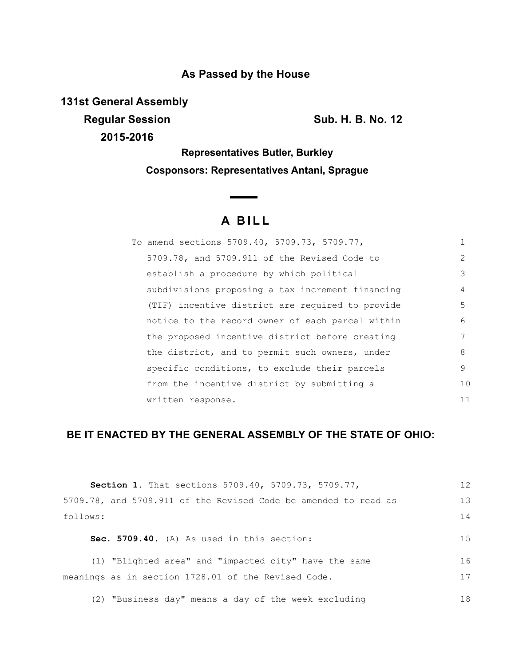## **As Passed by the House**

**131st General Assembly Regular Session Sub. H. B. No. 12 2015-2016**

**Representatives Butler, Burkley Cosponsors: Representatives Antani, Sprague**

# **A BILL**

| To amend sections 5709.40, 5709.73, 5709.77,     |               |
|--------------------------------------------------|---------------|
| 5709.78, and 5709.911 of the Revised Code to     | $\mathcal{L}$ |
| establish a procedure by which political         | 3             |
| subdivisions proposing a tax increment financing | 4             |
| (TIF) incentive district are required to provide | 5             |
| notice to the record owner of each parcel within | 6             |
| the proposed incentive district before creating  | 7             |
| the district, and to permit such owners, under   | 8             |
| specific conditions, to exclude their parcels    | 9             |
| from the incentive district by submitting a      | 10            |
| written response.                                | 11            |

## **BE IT ENACTED BY THE GENERAL ASSEMBLY OF THE STATE OF OHIO:**

| <b>Section 1.</b> That sections 5709.40, 5709.73, 5709.77,      | 12 |
|-----------------------------------------------------------------|----|
| 5709.78, and 5709.911 of the Revised Code be amended to read as | 13 |
| follows:                                                        | 14 |
| Sec. 5709.40. (A) As used in this section:                      | 15 |
| (1) "Blighted area" and "impacted city" have the same           | 16 |
| meanings as in section 1728.01 of the Revised Code.             | 17 |
| (2) "Business day" means a day of the week excluding            | 18 |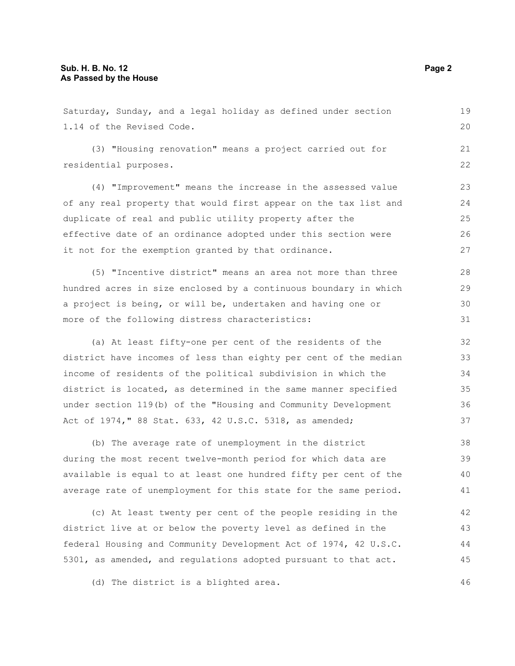Saturday, Sunday, and a legal holiday as defined under section 1.14 of the Revised Code. (3) "Housing renovation" means a project carried out for residential purposes. (4) "Improvement" means the increase in the assessed value of any real property that would first appear on the tax list and duplicate of real and public utility property after the effective date of an ordinance adopted under this section were it not for the exemption granted by that ordinance. (5) "Incentive district" means an area not more than three hundred acres in size enclosed by a continuous boundary in which a project is being, or will be, undertaken and having one or more of the following distress characteristics: (a) At least fifty-one per cent of the residents of the district have incomes of less than eighty per cent of the median income of residents of the political subdivision in which the district is located, as determined in the same manner specified under section 119(b) of the "Housing and Community Development Act of 1974," 88 Stat. 633, 42 U.S.C. 5318, as amended; (b) The average rate of unemployment in the district 19 20 21 22 23 24 25 26 27 28 29 30 31 32 33 34 35 36 37 38

during the most recent twelve-month period for which data are available is equal to at least one hundred fifty per cent of the average rate of unemployment for this state for the same period. 39 40 41

(c) At least twenty per cent of the people residing in the district live at or below the poverty level as defined in the federal Housing and Community Development Act of 1974, 42 U.S.C. 5301, as amended, and regulations adopted pursuant to that act. 42 43 44 45

(d) The district is a blighted area.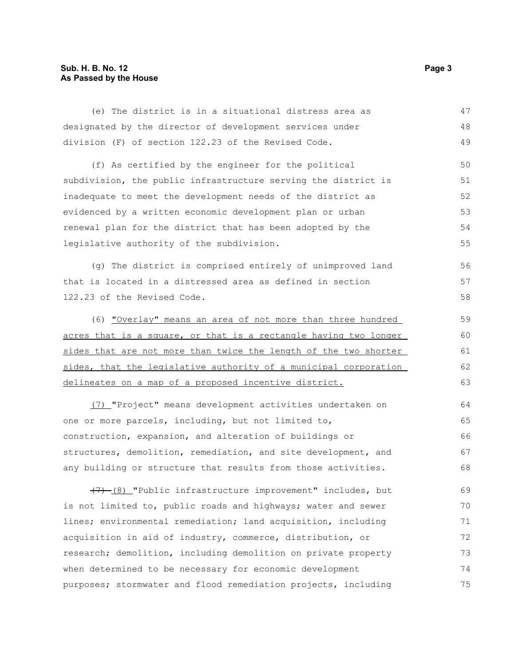### **Sub. H. B. No. 12 Page 3 As Passed by the House**

| (e) The district is in a situational distress area as            | 47 |
|------------------------------------------------------------------|----|
| designated by the director of development services under         | 48 |
| division (F) of section 122.23 of the Revised Code.              | 49 |
| (f) As certified by the engineer for the political               | 50 |
| subdivision, the public infrastructure serving the district is   | 51 |
| inadequate to meet the development needs of the district as      | 52 |
| evidenced by a written economic development plan or urban        | 53 |
| renewal plan for the district that has been adopted by the       | 54 |
| legislative authority of the subdivision.                        | 55 |
| (g) The district is comprised entirely of unimproved land        | 56 |
| that is located in a distressed area as defined in section       | 57 |
| 122.23 of the Revised Code.                                      | 58 |
| (6) "Overlay" means an area of not more than three hundred       | 59 |
| acres that is a square, or that is a rectangle having two longer | 60 |
| sides that are not more than twice the length of the two shorter | 61 |
| sides, that the legislative authority of a municipal corporation | 62 |
| delineates on a map of a proposed incentive district.            | 63 |
| (7) "Project" means development activities undertaken on         | 64 |
| one or more parcels, including, but not limited to,              | 65 |
| construction, expansion, and alteration of buildings or          | 66 |
| structures, demolition, remediation, and site development, and   | 67 |
| any building or structure that results from those activities.    | 68 |
| (7) (8) "Public infrastructure improvement" includes, but        | 69 |
| is not limited to, public roads and highways; water and sewer    | 70 |
| lines; environmental remediation; land acquisition, including    | 71 |
| acquisition in aid of industry, commerce, distribution, or       | 72 |
| research; demolition, including demolition on private property   | 73 |
| when determined to be necessary for economic development         | 74 |

purposes; stormwater and flood remediation projects, including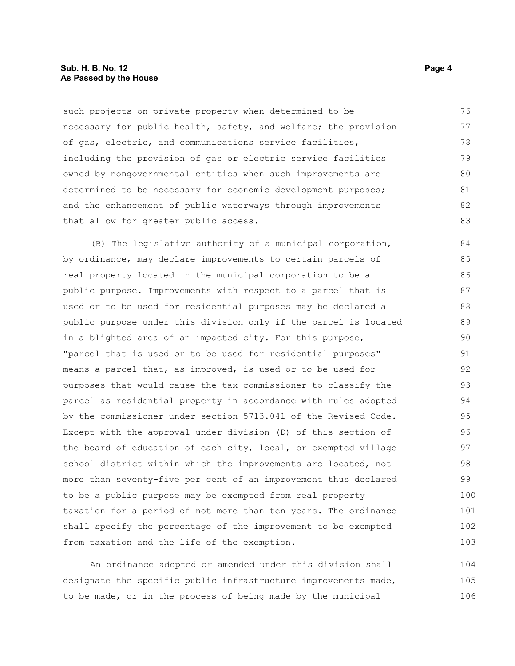#### **Sub. H. B. No. 12 Page 4 As Passed by the House**

such projects on private property when determined to be necessary for public health, safety, and welfare; the provision of gas, electric, and communications service facilities, including the provision of gas or electric service facilities owned by nongovernmental entities when such improvements are determined to be necessary for economic development purposes; and the enhancement of public waterways through improvements that allow for greater public access. 76 77 78 79 80 81 82 83

(B) The legislative authority of a municipal corporation, by ordinance, may declare improvements to certain parcels of real property located in the municipal corporation to be a public purpose. Improvements with respect to a parcel that is used or to be used for residential purposes may be declared a public purpose under this division only if the parcel is located in a blighted area of an impacted city. For this purpose, "parcel that is used or to be used for residential purposes" means a parcel that, as improved, is used or to be used for purposes that would cause the tax commissioner to classify the parcel as residential property in accordance with rules adopted by the commissioner under section 5713.041 of the Revised Code. Except with the approval under division (D) of this section of the board of education of each city, local, or exempted village school district within which the improvements are located, not more than seventy-five per cent of an improvement thus declared to be a public purpose may be exempted from real property taxation for a period of not more than ten years. The ordinance shall specify the percentage of the improvement to be exempted from taxation and the life of the exemption. 84 85 86 87 88 89 90 91 92 93 94 95 96 97 98 99 100 101 102 103

An ordinance adopted or amended under this division shall designate the specific public infrastructure improvements made, to be made, or in the process of being made by the municipal 104 105 106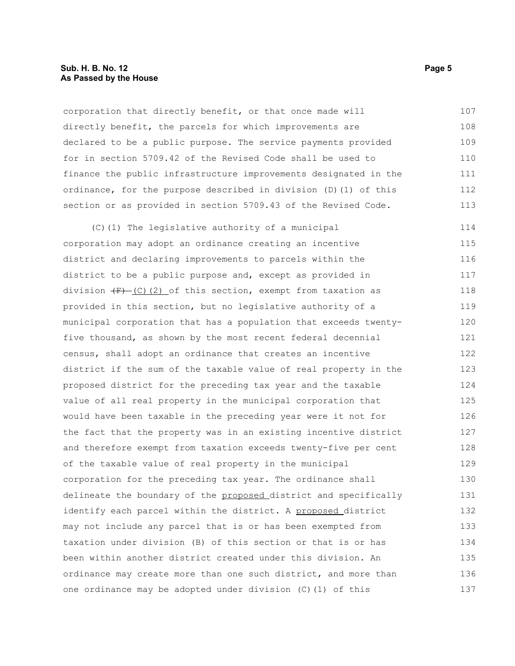#### **Sub. H. B. No. 12 Page 5 As Passed by the House**

corporation that directly benefit, or that once made will directly benefit, the parcels for which improvements are declared to be a public purpose. The service payments provided for in section 5709.42 of the Revised Code shall be used to finance the public infrastructure improvements designated in the ordinance, for the purpose described in division (D)(1) of this section or as provided in section 5709.43 of the Revised Code. 107 108 109 110 111 112 113

(C)(1) The legislative authority of a municipal corporation may adopt an ordinance creating an incentive district and declaring improvements to parcels within the district to be a public purpose and, except as provided in division  $(F)$  (C)(2) of this section, exempt from taxation as provided in this section, but no legislative authority of a municipal corporation that has a population that exceeds twentyfive thousand, as shown by the most recent federal decennial census, shall adopt an ordinance that creates an incentive district if the sum of the taxable value of real property in the proposed district for the preceding tax year and the taxable value of all real property in the municipal corporation that would have been taxable in the preceding year were it not for the fact that the property was in an existing incentive district and therefore exempt from taxation exceeds twenty-five per cent of the taxable value of real property in the municipal corporation for the preceding tax year. The ordinance shall delineate the boundary of the proposed district and specifically identify each parcel within the district. A proposed district may not include any parcel that is or has been exempted from taxation under division (B) of this section or that is or has been within another district created under this division. An ordinance may create more than one such district, and more than one ordinance may be adopted under division (C)(1) of this 114 115 116 117 118 119 120 121 122 123 124 125 126 127 128 129 130 131 132 133 134 135 136 137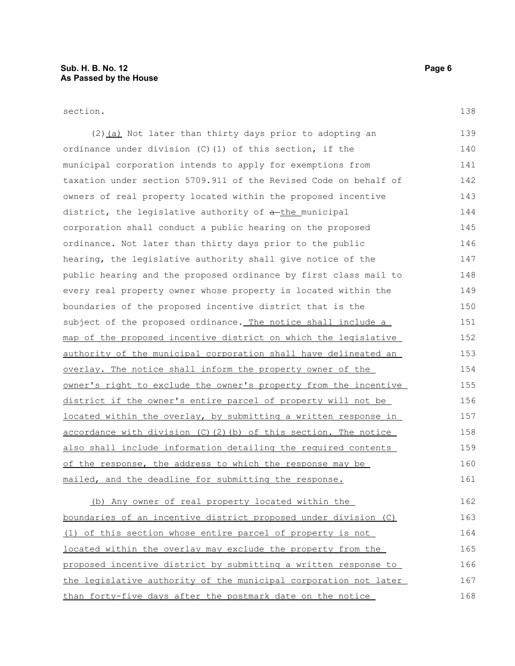section.

(2) (a) Not later than thirty days prior to adopting an ordinance under division (C)(1) of this section, if the municipal corporation intends to apply for exemptions from taxation under section 5709.911 of the Revised Code on behalf of owners of real property located within the proposed incentive district, the legislative authority of  $a$ -the municipal corporation shall conduct a public hearing on the proposed ordinance. Not later than thirty days prior to the public hearing, the legislative authority shall give notice of the public hearing and the proposed ordinance by first class mail to every real property owner whose property is located within the boundaries of the proposed incentive district that is the subject of the proposed ordinance. The notice shall include a map of the proposed incentive district on which the legislative authority of the municipal corporation shall have delineated an overlay. The notice shall inform the property owner of the owner's right to exclude the owner's property from the incentive district if the owner's entire parcel of property will not be located within the overlay, by submitting a written response in accordance with division  $(C)$   $(2)$   $(b)$  of this section. The notice also shall include information detailing the required contents of the response, the address to which the response may be mailed, and the deadline for submitting the response. 139 140 141 142 143 144 145 146 147 148 149 150 151 152 153 154 155 156 157 158 159 160 161

(b) Any owner of real property located within the boundaries of an incentive district proposed under division (C) (1) of this section whose entire parcel of property is not located within the overlay may exclude the property from the proposed incentive district by submitting a written response to the legislative authority of the municipal corporation not later than forty-five days after the postmark date on the notice 162 163 164 165 166 167 168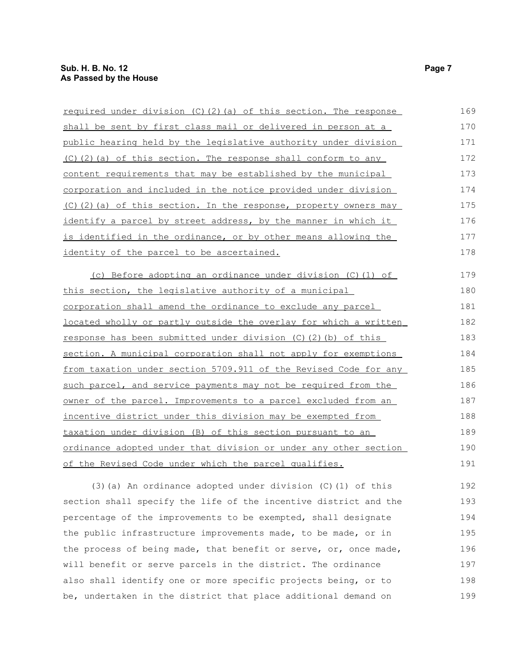| required under division (C)(2)(a) of this section. The response  | 169 |
|------------------------------------------------------------------|-----|
| shall be sent by first class mail or delivered in person at a    | 170 |
| public hearing held by the legislative authority under division  | 171 |
| (C)(2)(a) of this section. The response shall conform to any     | 172 |
| content requirements that may be established by the municipal    | 173 |
| corporation and included in the notice provided under division   | 174 |
| (C)(2)(a) of this section. In the response, property owners may  | 175 |
| identify a parcel by street address, by the manner in which it   | 176 |
| is identified in the ordinance, or by other means allowing the   | 177 |
| identity of the parcel to be ascertained.                        | 178 |
| (c) Before adopting an ordinance under division (C) (1) of       | 179 |
| this section, the legislative authority of a municipal           | 180 |
| corporation shall amend the ordinance to exclude any parcel      | 181 |
| located wholly or partly outside the overlay for which a written | 182 |
| response has been submitted under division (C)(2)(b) of this     | 183 |
| section. A municipal corporation shall not apply for exemptions  | 184 |
| from taxation under section 5709.911 of the Revised Code for any | 185 |
| such parcel, and service payments may not be required from the   | 186 |
| owner of the parcel. Improvements to a parcel excluded from an   | 187 |
| incentive district under this division may be exempted from      | 188 |
| taxation under division (B) of this section pursuant to an       | 189 |
| ordinance adopted under that division or under any other section | 190 |
| of the Revised Code under which the parcel qualifies.            | 191 |
| $(3)$ (a) An ordinance adopted under division (C) (1) of this    | 192 |
| section shall specify the life of the incentive district and the | 193 |
|                                                                  |     |

percentage of the improvements to be exempted, shall designate the public infrastructure improvements made, to be made, or in the process of being made, that benefit or serve, or, once made, will benefit or serve parcels in the district. The ordinance also shall identify one or more specific projects being, or to be, undertaken in the district that place additional demand on 194 195 196 197 198 199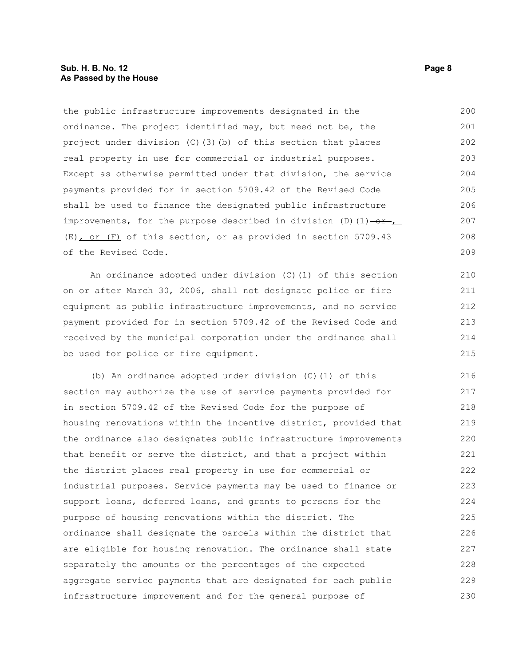#### **Sub. H. B. No. 12 Page 8 As Passed by the House**

the public infrastructure improvements designated in the ordinance. The project identified may, but need not be, the project under division (C)(3)(b) of this section that places real property in use for commercial or industrial purposes. Except as otherwise permitted under that division, the service payments provided for in section 5709.42 of the Revised Code shall be used to finance the designated public infrastructure improvements, for the purpose described in division (D)(1) $-\theta$ r, (E), or (F) of this section, or as provided in section 5709.43 of the Revised Code. 200 201 202 203 204 205 206 207 208 209

An ordinance adopted under division (C)(1) of this section on or after March 30, 2006, shall not designate police or fire equipment as public infrastructure improvements, and no service payment provided for in section 5709.42 of the Revised Code and received by the municipal corporation under the ordinance shall be used for police or fire equipment.

(b) An ordinance adopted under division (C)(1) of this section may authorize the use of service payments provided for in section 5709.42 of the Revised Code for the purpose of housing renovations within the incentive district, provided that the ordinance also designates public infrastructure improvements that benefit or serve the district, and that a project within the district places real property in use for commercial or industrial purposes. Service payments may be used to finance or support loans, deferred loans, and grants to persons for the purpose of housing renovations within the district. The ordinance shall designate the parcels within the district that are eligible for housing renovation. The ordinance shall state separately the amounts or the percentages of the expected aggregate service payments that are designated for each public infrastructure improvement and for the general purpose of 216 217 218 219 220 221 222 223 224 225 226 227 228 229 230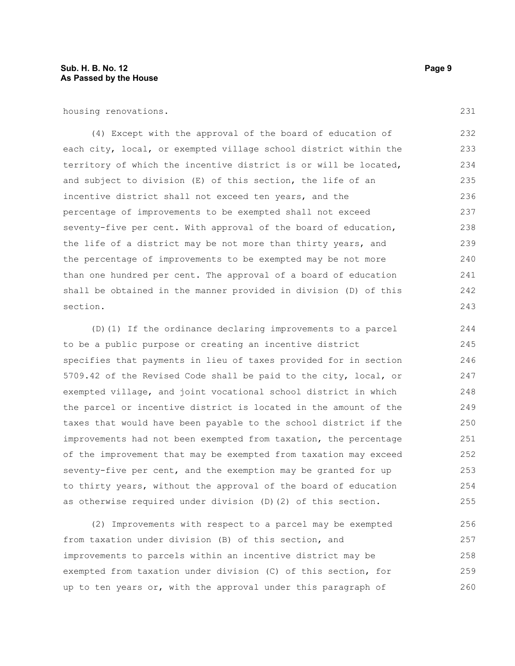housing renovations.

(4) Except with the approval of the board of education of each city, local, or exempted village school district within the territory of which the incentive district is or will be located, and subject to division (E) of this section, the life of an incentive district shall not exceed ten years, and the percentage of improvements to be exempted shall not exceed seventy-five per cent. With approval of the board of education, the life of a district may be not more than thirty years, and the percentage of improvements to be exempted may be not more than one hundred per cent. The approval of a board of education shall be obtained in the manner provided in division (D) of this section. 232 233 234 235 236 237 238 239 240 241 242 243

(D)(1) If the ordinance declaring improvements to a parcel to be a public purpose or creating an incentive district specifies that payments in lieu of taxes provided for in section 5709.42 of the Revised Code shall be paid to the city, local, or exempted village, and joint vocational school district in which the parcel or incentive district is located in the amount of the taxes that would have been payable to the school district if the improvements had not been exempted from taxation, the percentage of the improvement that may be exempted from taxation may exceed seventy-five per cent, and the exemption may be granted for up to thirty years, without the approval of the board of education as otherwise required under division (D)(2) of this section. 244 245 246 247 248 249 250 251 252 253 254 255

(2) Improvements with respect to a parcel may be exempted from taxation under division (B) of this section, and improvements to parcels within an incentive district may be exempted from taxation under division (C) of this section, for up to ten years or, with the approval under this paragraph of 256 257 258 259 260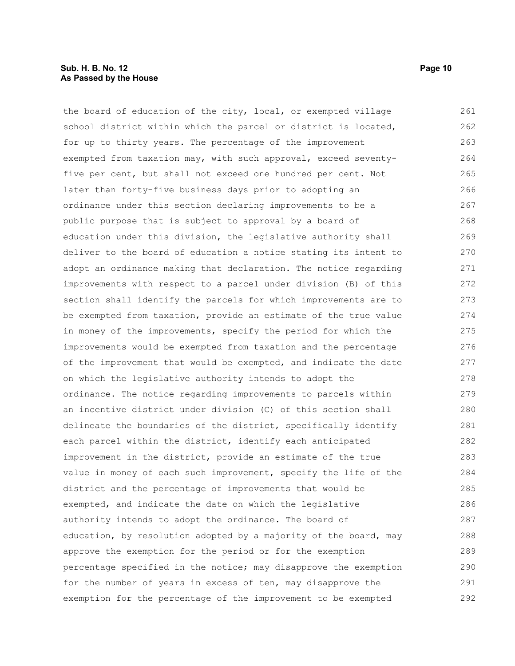#### **Sub. H. B. No. 12 Page 10 As Passed by the House**

the board of education of the city, local, or exempted village school district within which the parcel or district is located, for up to thirty years. The percentage of the improvement exempted from taxation may, with such approval, exceed seventyfive per cent, but shall not exceed one hundred per cent. Not later than forty-five business days prior to adopting an ordinance under this section declaring improvements to be a public purpose that is subject to approval by a board of education under this division, the legislative authority shall deliver to the board of education a notice stating its intent to adopt an ordinance making that declaration. The notice regarding improvements with respect to a parcel under division (B) of this section shall identify the parcels for which improvements are to be exempted from taxation, provide an estimate of the true value in money of the improvements, specify the period for which the improvements would be exempted from taxation and the percentage of the improvement that would be exempted, and indicate the date on which the legislative authority intends to adopt the ordinance. The notice regarding improvements to parcels within an incentive district under division (C) of this section shall delineate the boundaries of the district, specifically identify each parcel within the district, identify each anticipated improvement in the district, provide an estimate of the true value in money of each such improvement, specify the life of the district and the percentage of improvements that would be exempted, and indicate the date on which the legislative authority intends to adopt the ordinance. The board of education, by resolution adopted by a majority of the board, may approve the exemption for the period or for the exemption percentage specified in the notice; may disapprove the exemption for the number of years in excess of ten, may disapprove the exemption for the percentage of the improvement to be exempted 261 262 263 264 265 266 267 268 269 270 271 272 273 274 275 276 277 278 279 280 281 282 283 284 285 286 287 288 289 290 291 292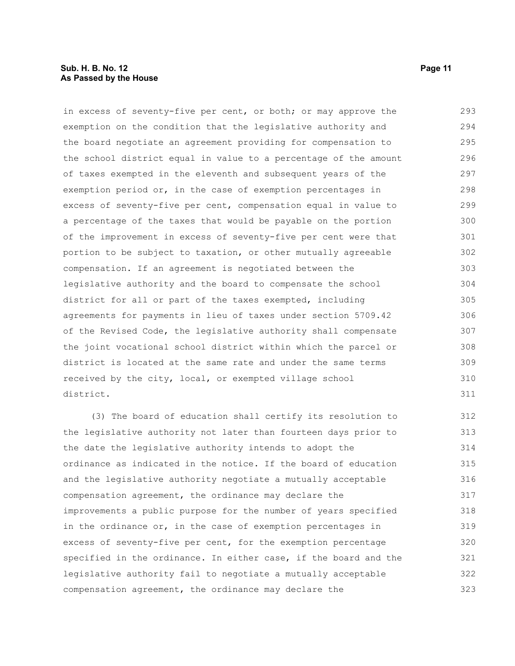#### **Sub. H. B. No. 12 Page 11 As Passed by the House**

in excess of seventy-five per cent, or both; or may approve the exemption on the condition that the legislative authority and the board negotiate an agreement providing for compensation to the school district equal in value to a percentage of the amount of taxes exempted in the eleventh and subsequent years of the exemption period or, in the case of exemption percentages in excess of seventy-five per cent, compensation equal in value to a percentage of the taxes that would be payable on the portion of the improvement in excess of seventy-five per cent were that portion to be subject to taxation, or other mutually agreeable compensation. If an agreement is negotiated between the legislative authority and the board to compensate the school district for all or part of the taxes exempted, including agreements for payments in lieu of taxes under section 5709.42 of the Revised Code, the legislative authority shall compensate the joint vocational school district within which the parcel or district is located at the same rate and under the same terms received by the city, local, or exempted village school district. 293 294 295 296 297 298 299 300 301 302 303 304 305 306 307 308 309 310 311

(3) The board of education shall certify its resolution to the legislative authority not later than fourteen days prior to the date the legislative authority intends to adopt the ordinance as indicated in the notice. If the board of education and the legislative authority negotiate a mutually acceptable compensation agreement, the ordinance may declare the improvements a public purpose for the number of years specified in the ordinance or, in the case of exemption percentages in excess of seventy-five per cent, for the exemption percentage specified in the ordinance. In either case, if the board and the legislative authority fail to negotiate a mutually acceptable compensation agreement, the ordinance may declare the 312 313 314 315 316 317 318 319 320 321 322 323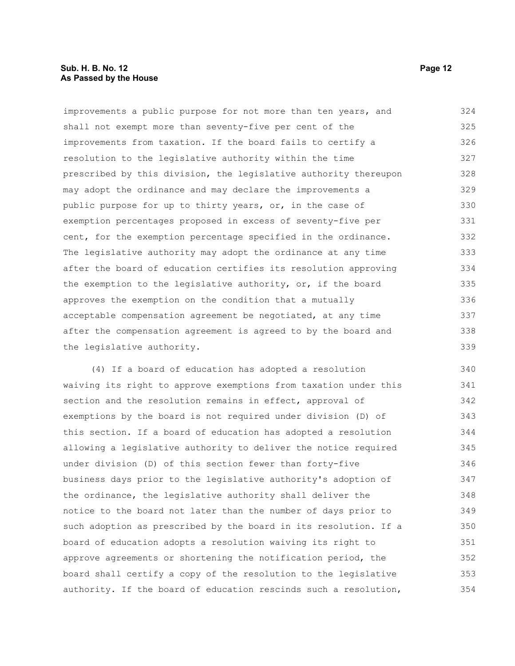#### **Sub. H. B. No. 12 Page 12 As Passed by the House**

improvements a public purpose for not more than ten years, and shall not exempt more than seventy-five per cent of the improvements from taxation. If the board fails to certify a resolution to the legislative authority within the time prescribed by this division, the legislative authority thereupon may adopt the ordinance and may declare the improvements a public purpose for up to thirty years, or, in the case of exemption percentages proposed in excess of seventy-five per cent, for the exemption percentage specified in the ordinance. The legislative authority may adopt the ordinance at any time after the board of education certifies its resolution approving the exemption to the legislative authority, or, if the board approves the exemption on the condition that a mutually acceptable compensation agreement be negotiated, at any time after the compensation agreement is agreed to by the board and the legislative authority. 324 325 326 327 328 329 330 331 332 333 334 335 336 337 338 339

(4) If a board of education has adopted a resolution waiving its right to approve exemptions from taxation under this section and the resolution remains in effect, approval of exemptions by the board is not required under division (D) of this section. If a board of education has adopted a resolution allowing a legislative authority to deliver the notice required under division (D) of this section fewer than forty-five business days prior to the legislative authority's adoption of the ordinance, the legislative authority shall deliver the notice to the board not later than the number of days prior to such adoption as prescribed by the board in its resolution. If a board of education adopts a resolution waiving its right to approve agreements or shortening the notification period, the board shall certify a copy of the resolution to the legislative authority. If the board of education rescinds such a resolution, 340 341 342 343 344 345 346 347 348 349 350 351 352 353 354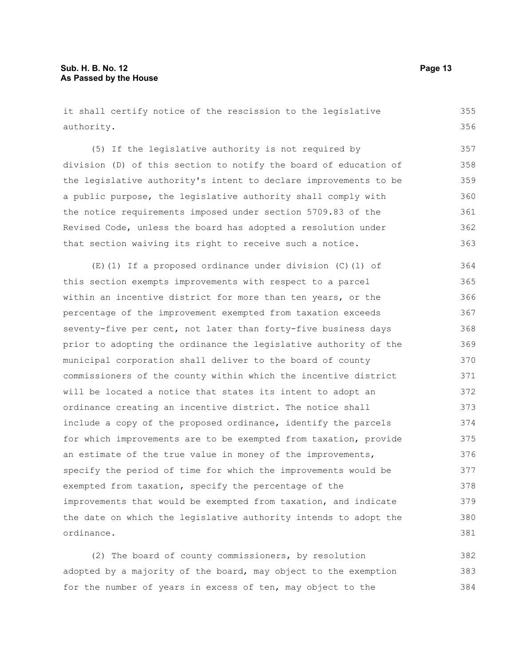it shall certify notice of the rescission to the legislative authority.

(5) If the legislative authority is not required by division (D) of this section to notify the board of education of the legislative authority's intent to declare improvements to be a public purpose, the legislative authority shall comply with the notice requirements imposed under section 5709.83 of the Revised Code, unless the board has adopted a resolution under that section waiving its right to receive such a notice. 357 358 359 360 361 362 363

(E)(1) If a proposed ordinance under division (C)(1) of this section exempts improvements with respect to a parcel within an incentive district for more than ten years, or the percentage of the improvement exempted from taxation exceeds seventy-five per cent, not later than forty-five business days prior to adopting the ordinance the legislative authority of the municipal corporation shall deliver to the board of county commissioners of the county within which the incentive district will be located a notice that states its intent to adopt an ordinance creating an incentive district. The notice shall include a copy of the proposed ordinance, identify the parcels for which improvements are to be exempted from taxation, provide an estimate of the true value in money of the improvements, specify the period of time for which the improvements would be exempted from taxation, specify the percentage of the improvements that would be exempted from taxation, and indicate the date on which the legislative authority intends to adopt the ordinance. 364 365 366 367 368 369 370 371 372 373 374 375 376 377 378 379 380 381

(2) The board of county commissioners, by resolution adopted by a majority of the board, may object to the exemption for the number of years in excess of ten, may object to the 382 383 384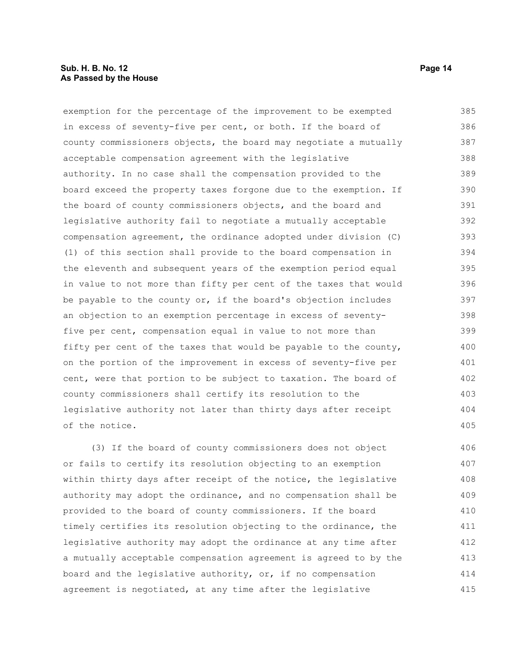#### **Sub. H. B. No. 12 Page 14 As Passed by the House**

exemption for the percentage of the improvement to be exempted in excess of seventy-five per cent, or both. If the board of county commissioners objects, the board may negotiate a mutually acceptable compensation agreement with the legislative authority. In no case shall the compensation provided to the board exceed the property taxes forgone due to the exemption. If the board of county commissioners objects, and the board and legislative authority fail to negotiate a mutually acceptable compensation agreement, the ordinance adopted under division (C) (1) of this section shall provide to the board compensation in the eleventh and subsequent years of the exemption period equal in value to not more than fifty per cent of the taxes that would be payable to the county or, if the board's objection includes an objection to an exemption percentage in excess of seventyfive per cent, compensation equal in value to not more than fifty per cent of the taxes that would be payable to the county, on the portion of the improvement in excess of seventy-five per cent, were that portion to be subject to taxation. The board of county commissioners shall certify its resolution to the legislative authority not later than thirty days after receipt of the notice. 385 386 387 388 389 390 391 392 393 394 395 396 397 398 399 400 401 402 403 404 405

(3) If the board of county commissioners does not object or fails to certify its resolution objecting to an exemption within thirty days after receipt of the notice, the legislative authority may adopt the ordinance, and no compensation shall be provided to the board of county commissioners. If the board timely certifies its resolution objecting to the ordinance, the legislative authority may adopt the ordinance at any time after a mutually acceptable compensation agreement is agreed to by the board and the legislative authority, or, if no compensation agreement is negotiated, at any time after the legislative 406 407 408 409 410 411 412 413 414 415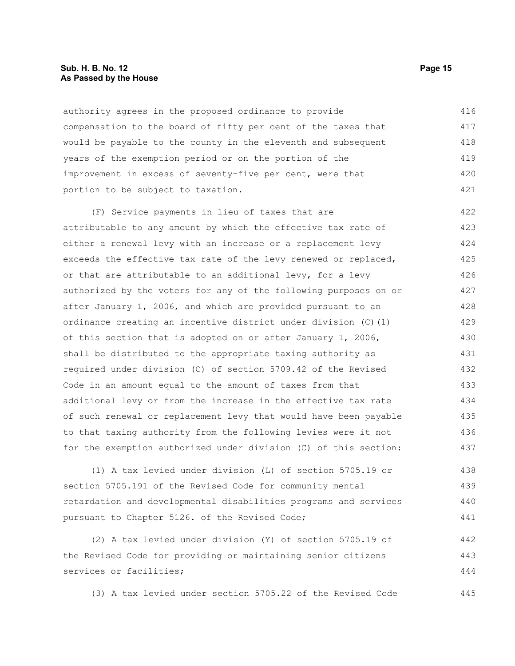#### **Sub. H. B. No. 12 Page 15 As Passed by the House**

authority agrees in the proposed ordinance to provide compensation to the board of fifty per cent of the taxes that would be payable to the county in the eleventh and subsequent years of the exemption period or on the portion of the improvement in excess of seventy-five per cent, were that portion to be subject to taxation. 416 417 418 419 420 421

(F) Service payments in lieu of taxes that are attributable to any amount by which the effective tax rate of either a renewal levy with an increase or a replacement levy exceeds the effective tax rate of the levy renewed or replaced, or that are attributable to an additional levy, for a levy authorized by the voters for any of the following purposes on or after January 1, 2006, and which are provided pursuant to an ordinance creating an incentive district under division (C)(1) of this section that is adopted on or after January 1, 2006, shall be distributed to the appropriate taxing authority as required under division (C) of section 5709.42 of the Revised Code in an amount equal to the amount of taxes from that additional levy or from the increase in the effective tax rate of such renewal or replacement levy that would have been payable to that taxing authority from the following levies were it not for the exemption authorized under division (C) of this section: 422 423 424 425 426 427 428 429 430 431 432 433 434 435 436 437

(1) A tax levied under division (L) of section 5705.19 or section 5705.191 of the Revised Code for community mental retardation and developmental disabilities programs and services pursuant to Chapter 5126. of the Revised Code; 438 439 440 441

(2) A tax levied under division (Y) of section 5705.19 of the Revised Code for providing or maintaining senior citizens services or facilities; 442 443 444

(3) A tax levied under section 5705.22 of the Revised Code 445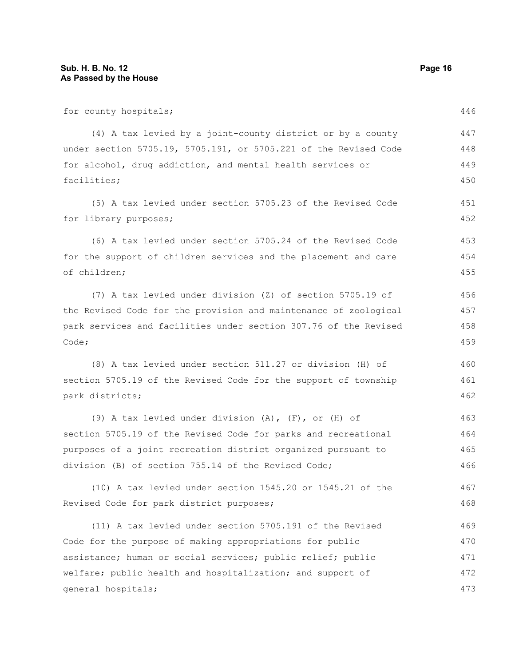for county hospitals; (4) A tax levied by a joint-county district or by a county under section 5705.19, 5705.191, or 5705.221 of the Revised Code for alcohol, drug addiction, and mental health services or facilities; (5) A tax levied under section 5705.23 of the Revised Code for library purposes; (6) A tax levied under section 5705.24 of the Revised Code for the support of children services and the placement and care of children; (7) A tax levied under division (Z) of section 5705.19 of the Revised Code for the provision and maintenance of zoological park services and facilities under section 307.76 of the Revised Code; (8) A tax levied under section 511.27 or division (H) of section 5705.19 of the Revised Code for the support of township park districts; (9) A tax levied under division (A), (F), or (H) of section 5705.19 of the Revised Code for parks and recreational purposes of a joint recreation district organized pursuant to division (B) of section 755.14 of the Revised Code; (10) A tax levied under section 1545.20 or 1545.21 of the Revised Code for park district purposes; (11) A tax levied under section 5705.191 of the Revised Code for the purpose of making appropriations for public assistance; human or social services; public relief; public welfare; public health and hospitalization; and support of general hospitals; 446 447 448 449 450 451 452 453 454 455 456 457 458 459 460 461 462 463 464 465 466 467 468 469 470 471 472 473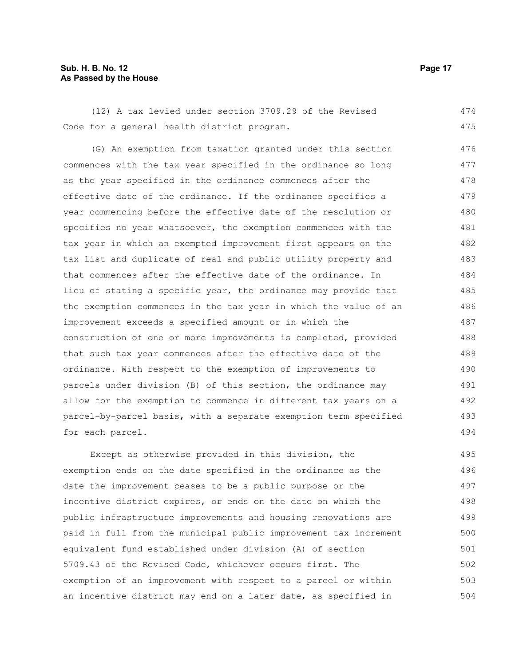#### **Sub. H. B. No. 12 Page 17 As Passed by the House**

(12) A tax levied under section 3709.29 of the Revised Code for a general health district program. 474 475

(G) An exemption from taxation granted under this section commences with the tax year specified in the ordinance so long as the year specified in the ordinance commences after the effective date of the ordinance. If the ordinance specifies a year commencing before the effective date of the resolution or specifies no year whatsoever, the exemption commences with the tax year in which an exempted improvement first appears on the tax list and duplicate of real and public utility property and that commences after the effective date of the ordinance. In lieu of stating a specific year, the ordinance may provide that the exemption commences in the tax year in which the value of an improvement exceeds a specified amount or in which the construction of one or more improvements is completed, provided that such tax year commences after the effective date of the ordinance. With respect to the exemption of improvements to parcels under division (B) of this section, the ordinance may allow for the exemption to commence in different tax years on a parcel-by-parcel basis, with a separate exemption term specified for each parcel. 476 477 478 479 480 481 482 483 484 485 486 487 488 489 490 491 492 493 494

Except as otherwise provided in this division, the exemption ends on the date specified in the ordinance as the date the improvement ceases to be a public purpose or the incentive district expires, or ends on the date on which the public infrastructure improvements and housing renovations are paid in full from the municipal public improvement tax increment equivalent fund established under division (A) of section 5709.43 of the Revised Code, whichever occurs first. The exemption of an improvement with respect to a parcel or within an incentive district may end on a later date, as specified in 495 496 497 498 499 500 501 502 503 504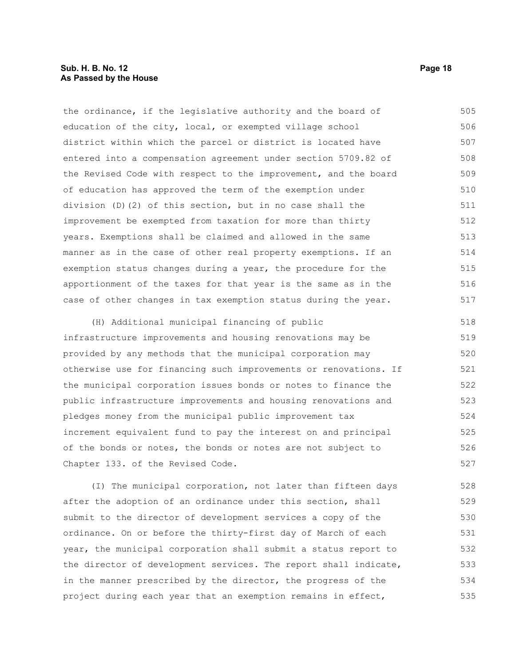#### **Sub. H. B. No. 12 Page 18 As Passed by the House**

the ordinance, if the legislative authority and the board of education of the city, local, or exempted village school district within which the parcel or district is located have entered into a compensation agreement under section 5709.82 of the Revised Code with respect to the improvement, and the board of education has approved the term of the exemption under division (D)(2) of this section, but in no case shall the improvement be exempted from taxation for more than thirty years. Exemptions shall be claimed and allowed in the same manner as in the case of other real property exemptions. If an exemption status changes during a year, the procedure for the apportionment of the taxes for that year is the same as in the case of other changes in tax exemption status during the year. 505 506 507 508 509 510 511 512 513 514 515 516 517

(H) Additional municipal financing of public infrastructure improvements and housing renovations may be provided by any methods that the municipal corporation may otherwise use for financing such improvements or renovations. If the municipal corporation issues bonds or notes to finance the public infrastructure improvements and housing renovations and pledges money from the municipal public improvement tax increment equivalent fund to pay the interest on and principal of the bonds or notes, the bonds or notes are not subject to Chapter 133. of the Revised Code. 518 519 520 521 522 523 524 525 526 527

(I) The municipal corporation, not later than fifteen days after the adoption of an ordinance under this section, shall submit to the director of development services a copy of the ordinance. On or before the thirty-first day of March of each year, the municipal corporation shall submit a status report to the director of development services. The report shall indicate, in the manner prescribed by the director, the progress of the project during each year that an exemption remains in effect, 528 529 530 531 532 533 534 535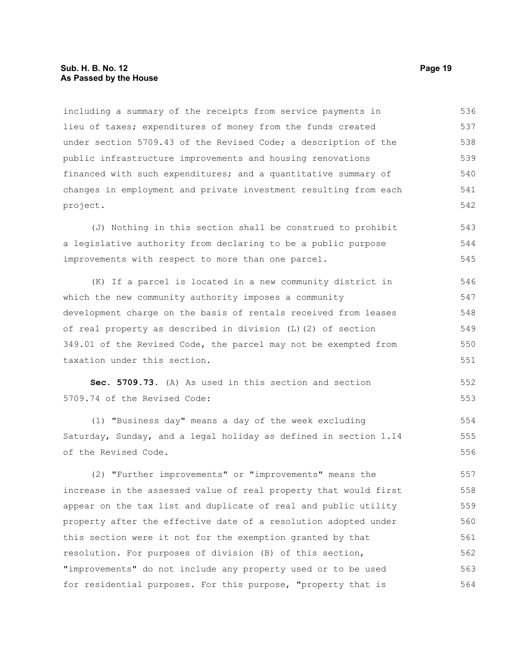#### **Sub. H. B. No. 12 Page 19 As Passed by the House**

including a summary of the receipts from service payments in lieu of taxes; expenditures of money from the funds created under section 5709.43 of the Revised Code; a description of the public infrastructure improvements and housing renovations financed with such expenditures; and a quantitative summary of changes in employment and private investment resulting from each project. 536 537 538 539 540 541 542

(J) Nothing in this section shall be construed to prohibit a legislative authority from declaring to be a public purpose improvements with respect to more than one parcel. 543 544 545

(K) If a parcel is located in a new community district in which the new community authority imposes a community development charge on the basis of rentals received from leases of real property as described in division (L)(2) of section 349.01 of the Revised Code, the parcel may not be exempted from taxation under this section. 546 547 548 549 550 551

**Sec. 5709.73.** (A) As used in this section and section 5709.74 of the Revised Code: 552 553

(1) "Business day" means a day of the week excluding Saturday, Sunday, and a legal holiday as defined in section 1.14 of the Revised Code.

(2) "Further improvements" or "improvements" means the increase in the assessed value of real property that would first appear on the tax list and duplicate of real and public utility property after the effective date of a resolution adopted under this section were it not for the exemption granted by that resolution. For purposes of division (B) of this section, "improvements" do not include any property used or to be used for residential purposes. For this purpose, "property that is 557 558 559 560 561 562 563 564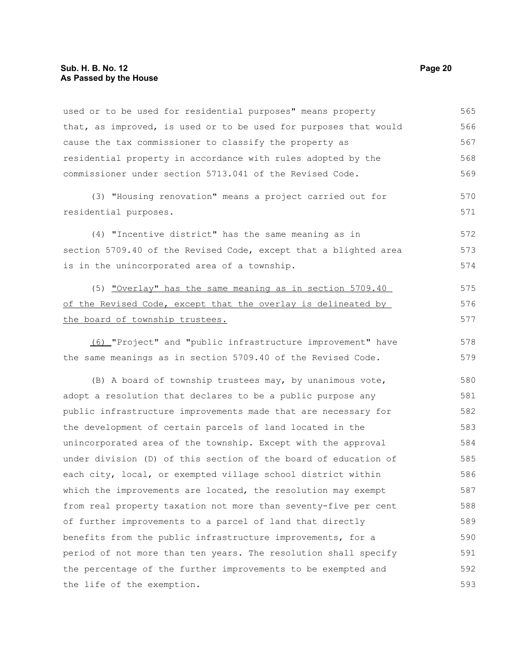used or to be used for residential purposes" means property that, as improved, is used or to be used for purposes that would cause the tax commissioner to classify the property as residential property in accordance with rules adopted by the commissioner under section 5713.041 of the Revised Code. 565 566 567 568 569

(3) "Housing renovation" means a project carried out for residential purposes.

(4) "Incentive district" has the same meaning as in section 5709.40 of the Revised Code, except that a blighted area is in the unincorporated area of a township. 572 573 574

(5) "Overlay" has the same meaning as in section 5709.40 of the Revised Code, except that the overlay is delineated by the board of township trustees.

(6) "Project" and "public infrastructure improvement" have the same meanings as in section 5709.40 of the Revised Code.

(B) A board of township trustees may, by unanimous vote, adopt a resolution that declares to be a public purpose any public infrastructure improvements made that are necessary for the development of certain parcels of land located in the unincorporated area of the township. Except with the approval under division (D) of this section of the board of education of each city, local, or exempted village school district within which the improvements are located, the resolution may exempt from real property taxation not more than seventy-five per cent of further improvements to a parcel of land that directly benefits from the public infrastructure improvements, for a period of not more than ten years. The resolution shall specify the percentage of the further improvements to be exempted and the life of the exemption. 580 581 582 583 584 585 586 587 588 589 590 591 592 593

570 571

575 576 577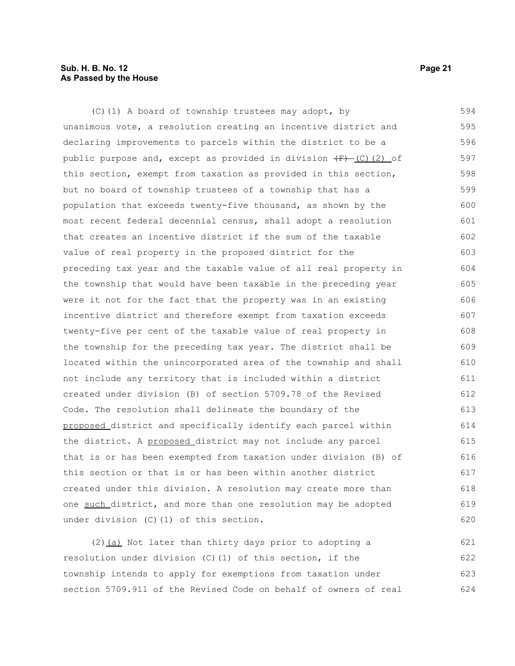#### **Sub. H. B. No. 12 Page 21 As Passed by the House**

(C)(1) A board of township trustees may adopt, by unanimous vote, a resolution creating an incentive district and declaring improvements to parcels within the district to be a public purpose and, except as provided in division  $\overline{F}$  (C)(2) of this section, exempt from taxation as provided in this section, but no board of township trustees of a township that has a population that exceeds twenty-five thousand, as shown by the most recent federal decennial census, shall adopt a resolution that creates an incentive district if the sum of the taxable value of real property in the proposed district for the preceding tax year and the taxable value of all real property in the township that would have been taxable in the preceding year were it not for the fact that the property was in an existing incentive district and therefore exempt from taxation exceeds twenty-five per cent of the taxable value of real property in the township for the preceding tax year. The district shall be located within the unincorporated area of the township and shall not include any territory that is included within a district created under division (B) of section 5709.78 of the Revised Code. The resolution shall delineate the boundary of the proposed district and specifically identify each parcel within the district. A proposed district may not include any parcel that is or has been exempted from taxation under division (B) of this section or that is or has been within another district created under this division. A resolution may create more than one such district, and more than one resolution may be adopted under division (C)(1) of this section. 594 595 596 597 598 599 600 601 602 603 604 605 606 607 608 609 610 611 612 613 614 615 616 617 618 619 620

(2) (a) Not later than thirty days prior to adopting a resolution under division (C)(1) of this section, if the township intends to apply for exemptions from taxation under section 5709.911 of the Revised Code on behalf of owners of real 621 622 623 624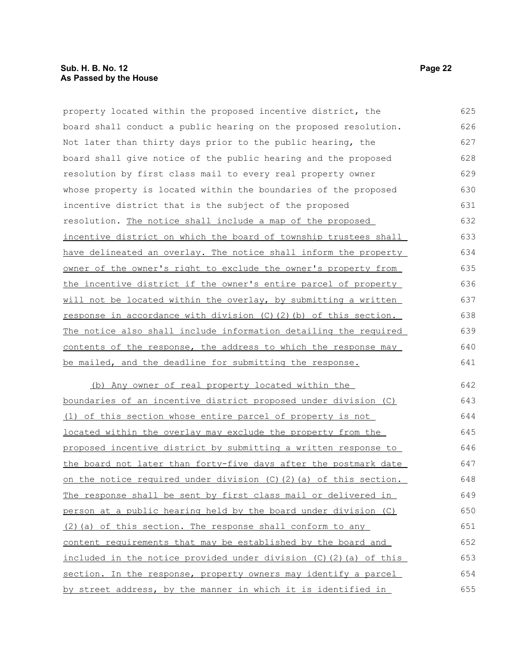#### **Sub. H. B. No. 12 Page 22 As Passed by the House**

property located within the proposed incentive district, the board shall conduct a public hearing on the proposed resolution. Not later than thirty days prior to the public hearing, the board shall give notice of the public hearing and the proposed resolution by first class mail to every real property owner whose property is located within the boundaries of the proposed incentive district that is the subject of the proposed resolution. The notice shall include a map of the proposed incentive district on which the board of township trustees shall have delineated an overlay. The notice shall inform the property owner of the owner's right to exclude the owner's property from the incentive district if the owner's entire parcel of property will not be located within the overlay, by submitting a written response in accordance with division  $(C)$   $(2)$   $(b)$  of this section. The notice also shall include information detailing the required contents of the response, the address to which the response may be mailed, and the deadline for submitting the response. 625 626 627 628 629 630 631 632 633 634 635 636 637 638 639 640 641

(b) Any owner of real property located within the boundaries of an incentive district proposed under division (C) (1) of this section whose entire parcel of property is not located within the overlay may exclude the property from the proposed incentive district by submitting a written response to the board not later than forty-five days after the postmark date on the notice required under division (C)(2)(a) of this section. The response shall be sent by first class mail or delivered in person at a public hearing held by the board under division (C)  $(2)$  (a) of this section. The response shall conform to any content requirements that may be established by the board and included in the notice provided under division (C)(2)(a) of this section. In the response, property owners may identify a parcel by street address, by the manner in which it is identified in 642 643 644 645 646 647 648 649 650 651 652 653 654 655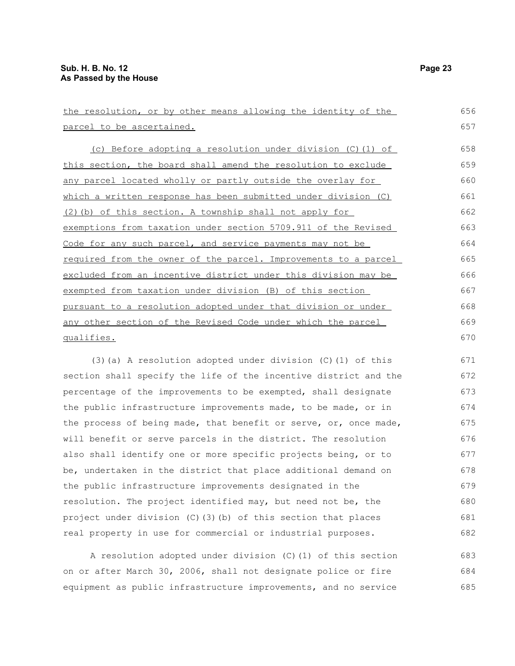| the resolution, or by other means allowing the identity of the   | 656 |  |
|------------------------------------------------------------------|-----|--|
| parcel to be ascertained.                                        |     |  |
| (c) Before adopting a resolution under division (C) (1) of       | 658 |  |
| this section, the board shall amend the resolution to exclude    | 659 |  |
| any parcel located wholly or partly outside the overlay for      | 660 |  |
| which a written response has been submitted under division (C)   | 661 |  |
| (2) (b) of this section. A township shall not apply for          | 662 |  |
| exemptions from taxation under section 5709.911 of the Revised   | 663 |  |
| Code for any such parcel, and service payments may not be        | 664 |  |
| required from the owner of the parcel. Improvements to a parcel  | 665 |  |
| excluded from an incentive district under this division may be   | 666 |  |
| exempted from taxation under division (B) of this section        | 667 |  |
| pursuant to a resolution adopted under that division or under    | 668 |  |
| any other section of the Revised Code under which the parcel     | 669 |  |
| qualifies.                                                       | 670 |  |
| $(3)$ (a) A resolution adopted under division (C) (1) of this    | 671 |  |
| section shall specify the life of the incentive district and the | 672 |  |
| percentage of the improvements to be exempted, shall designate   | 673 |  |
| the public infrastructure improvements made, to be made, or in   | 674 |  |
| the process of being made, that benefit or serve, or, once made, | 675 |  |
|                                                                  |     |  |

A resolution adopted under division (C)(1) of this section on or after March 30, 2006, shall not designate police or fire equipment as public infrastructure improvements, and no service 683 684 685

will benefit or serve parcels in the district. The resolution also shall identify one or more specific projects being, or to be, undertaken in the district that place additional demand on

the public infrastructure improvements designated in the

resolution. The project identified may, but need not be, the project under division (C)(3)(b) of this section that places real property in use for commercial or industrial purposes.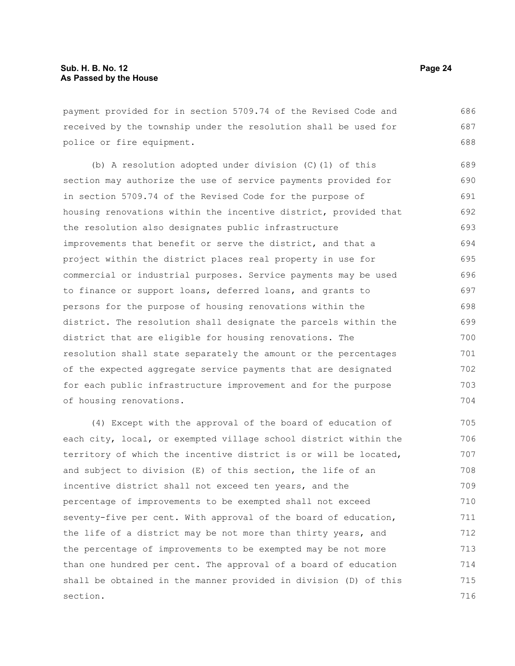payment provided for in section 5709.74 of the Revised Code and received by the township under the resolution shall be used for police or fire equipment. 686 687 688

(b) A resolution adopted under division (C)(1) of this section may authorize the use of service payments provided for in section 5709.74 of the Revised Code for the purpose of housing renovations within the incentive district, provided that the resolution also designates public infrastructure improvements that benefit or serve the district, and that a project within the district places real property in use for commercial or industrial purposes. Service payments may be used to finance or support loans, deferred loans, and grants to persons for the purpose of housing renovations within the district. The resolution shall designate the parcels within the district that are eligible for housing renovations. The resolution shall state separately the amount or the percentages of the expected aggregate service payments that are designated for each public infrastructure improvement and for the purpose of housing renovations. 689 690 691 692 693 694 695 696 697 698 699 700 701 702 703 704

(4) Except with the approval of the board of education of each city, local, or exempted village school district within the territory of which the incentive district is or will be located, and subject to division (E) of this section, the life of an incentive district shall not exceed ten years, and the percentage of improvements to be exempted shall not exceed seventy-five per cent. With approval of the board of education, the life of a district may be not more than thirty years, and the percentage of improvements to be exempted may be not more than one hundred per cent. The approval of a board of education shall be obtained in the manner provided in division (D) of this section. 705 706 707 708 709 710 711 712 713 714 715 716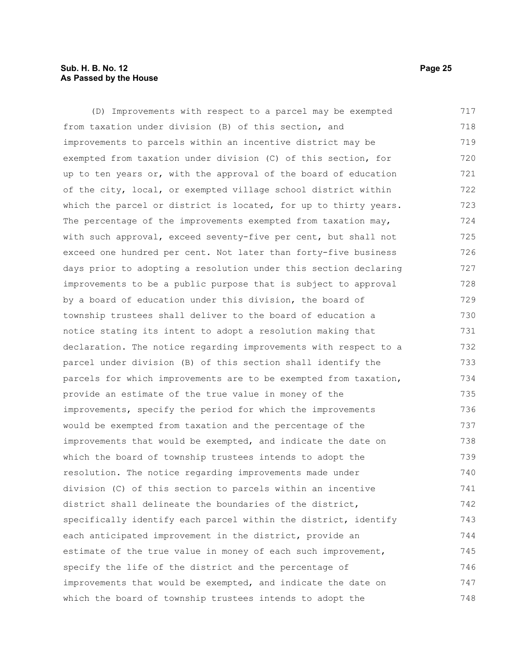#### **Sub. H. B. No. 12 Page 25 As Passed by the House**

(D) Improvements with respect to a parcel may be exempted from taxation under division (B) of this section, and improvements to parcels within an incentive district may be exempted from taxation under division (C) of this section, for up to ten years or, with the approval of the board of education of the city, local, or exempted village school district within which the parcel or district is located, for up to thirty years. The percentage of the improvements exempted from taxation may, with such approval, exceed seventy-five per cent, but shall not exceed one hundred per cent. Not later than forty-five business days prior to adopting a resolution under this section declaring improvements to be a public purpose that is subject to approval by a board of education under this division, the board of township trustees shall deliver to the board of education a notice stating its intent to adopt a resolution making that declaration. The notice regarding improvements with respect to a parcel under division (B) of this section shall identify the parcels for which improvements are to be exempted from taxation, provide an estimate of the true value in money of the improvements, specify the period for which the improvements would be exempted from taxation and the percentage of the improvements that would be exempted, and indicate the date on which the board of township trustees intends to adopt the resolution. The notice regarding improvements made under division (C) of this section to parcels within an incentive district shall delineate the boundaries of the district, specifically identify each parcel within the district, identify each anticipated improvement in the district, provide an estimate of the true value in money of each such improvement, specify the life of the district and the percentage of improvements that would be exempted, and indicate the date on which the board of township trustees intends to adopt the 717 718 719 720 721 722 723 724 725 726 727 728 729 730 731 732 733 734 735 736 737 738 739 740 741 742 743 744 745 746 747 748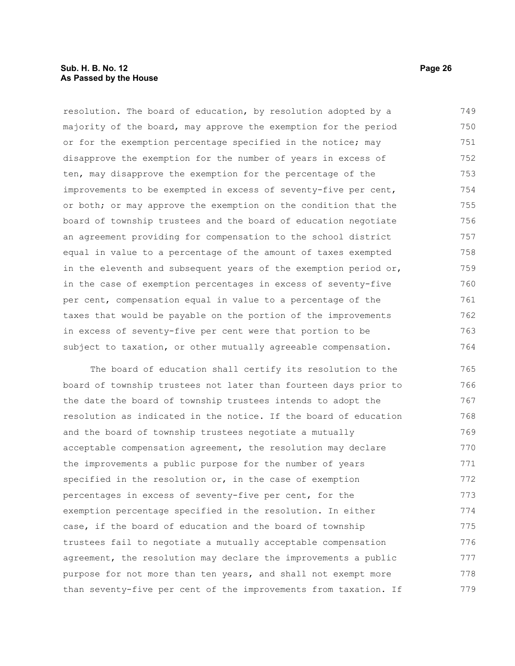#### **Sub. H. B. No. 12 Page 26 As Passed by the House**

resolution. The board of education, by resolution adopted by a majority of the board, may approve the exemption for the period or for the exemption percentage specified in the notice; may disapprove the exemption for the number of years in excess of ten, may disapprove the exemption for the percentage of the improvements to be exempted in excess of seventy-five per cent, or both; or may approve the exemption on the condition that the board of township trustees and the board of education negotiate an agreement providing for compensation to the school district equal in value to a percentage of the amount of taxes exempted in the eleventh and subsequent years of the exemption period or, in the case of exemption percentages in excess of seventy-five per cent, compensation equal in value to a percentage of the taxes that would be payable on the portion of the improvements in excess of seventy-five per cent were that portion to be subject to taxation, or other mutually agreeable compensation. 749 750 751 752 753 754 755 756 757 758 759 760 761 762 763 764

The board of education shall certify its resolution to the board of township trustees not later than fourteen days prior to the date the board of township trustees intends to adopt the resolution as indicated in the notice. If the board of education and the board of township trustees negotiate a mutually acceptable compensation agreement, the resolution may declare the improvements a public purpose for the number of years specified in the resolution or, in the case of exemption percentages in excess of seventy-five per cent, for the exemption percentage specified in the resolution. In either case, if the board of education and the board of township trustees fail to negotiate a mutually acceptable compensation agreement, the resolution may declare the improvements a public purpose for not more than ten years, and shall not exempt more than seventy-five per cent of the improvements from taxation. If 765 766 767 768 769 770 771 772 773 774 775 776 777 778 779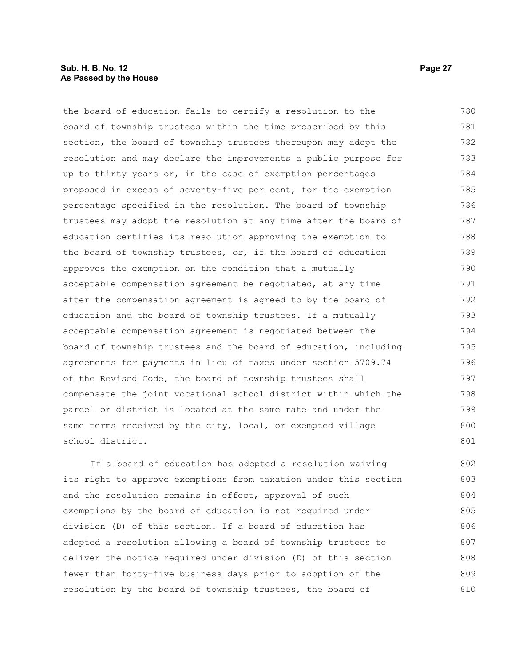#### **Sub. H. B. No. 12 Page 27 As Passed by the House**

the board of education fails to certify a resolution to the board of township trustees within the time prescribed by this section, the board of township trustees thereupon may adopt the resolution and may declare the improvements a public purpose for up to thirty years or, in the case of exemption percentages proposed in excess of seventy-five per cent, for the exemption percentage specified in the resolution. The board of township trustees may adopt the resolution at any time after the board of education certifies its resolution approving the exemption to the board of township trustees, or, if the board of education approves the exemption on the condition that a mutually acceptable compensation agreement be negotiated, at any time after the compensation agreement is agreed to by the board of education and the board of township trustees. If a mutually acceptable compensation agreement is negotiated between the board of township trustees and the board of education, including agreements for payments in lieu of taxes under section 5709.74 of the Revised Code, the board of township trustees shall compensate the joint vocational school district within which the parcel or district is located at the same rate and under the same terms received by the city, local, or exempted village school district. 780 781 782 783 784 785 786 787 788 789 790 791 792 793 794 795 796 797 798 799 800 801

If a board of education has adopted a resolution waiving its right to approve exemptions from taxation under this section and the resolution remains in effect, approval of such exemptions by the board of education is not required under division (D) of this section. If a board of education has adopted a resolution allowing a board of township trustees to deliver the notice required under division (D) of this section fewer than forty-five business days prior to adoption of the resolution by the board of township trustees, the board of 802 803 804 805 806 807 808 809 810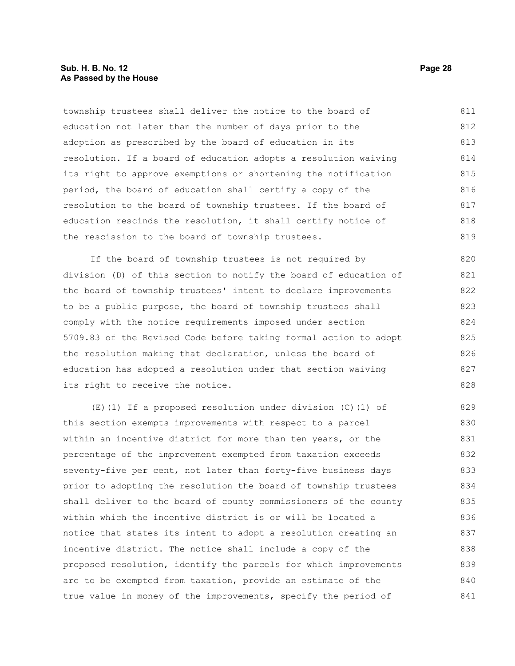#### **Sub. H. B. No. 12 Page 28 As Passed by the House**

township trustees shall deliver the notice to the board of education not later than the number of days prior to the adoption as prescribed by the board of education in its resolution. If a board of education adopts a resolution waiving its right to approve exemptions or shortening the notification period, the board of education shall certify a copy of the resolution to the board of township trustees. If the board of education rescinds the resolution, it shall certify notice of the rescission to the board of township trustees. 811 812 813 814 815 816 817 818 819

If the board of township trustees is not required by division (D) of this section to notify the board of education of the board of township trustees' intent to declare improvements to be a public purpose, the board of township trustees shall comply with the notice requirements imposed under section 5709.83 of the Revised Code before taking formal action to adopt the resolution making that declaration, unless the board of education has adopted a resolution under that section waiving its right to receive the notice. 820 821 822 823 824 825 826 827 828

(E)(1) If a proposed resolution under division (C)(1) of this section exempts improvements with respect to a parcel within an incentive district for more than ten years, or the percentage of the improvement exempted from taxation exceeds seventy-five per cent, not later than forty-five business days prior to adopting the resolution the board of township trustees shall deliver to the board of county commissioners of the county within which the incentive district is or will be located a notice that states its intent to adopt a resolution creating an incentive district. The notice shall include a copy of the proposed resolution, identify the parcels for which improvements are to be exempted from taxation, provide an estimate of the true value in money of the improvements, specify the period of 829 830 831 832 833 834 835 836 837 838 839 840 841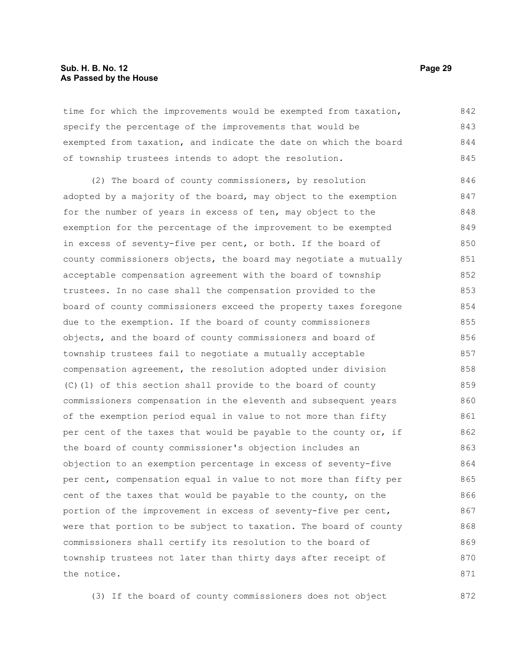#### **Sub. H. B. No. 12 Page 29 As Passed by the House**

time for which the improvements would be exempted from taxation, specify the percentage of the improvements that would be exempted from taxation, and indicate the date on which the board of township trustees intends to adopt the resolution. 842 843 844 845

(2) The board of county commissioners, by resolution adopted by a majority of the board, may object to the exemption for the number of years in excess of ten, may object to the exemption for the percentage of the improvement to be exempted in excess of seventy-five per cent, or both. If the board of county commissioners objects, the board may negotiate a mutually acceptable compensation agreement with the board of township trustees. In no case shall the compensation provided to the board of county commissioners exceed the property taxes foregone due to the exemption. If the board of county commissioners objects, and the board of county commissioners and board of township trustees fail to negotiate a mutually acceptable compensation agreement, the resolution adopted under division (C)(1) of this section shall provide to the board of county commissioners compensation in the eleventh and subsequent years of the exemption period equal in value to not more than fifty per cent of the taxes that would be payable to the county or, if the board of county commissioner's objection includes an objection to an exemption percentage in excess of seventy-five per cent, compensation equal in value to not more than fifty per cent of the taxes that would be payable to the county, on the portion of the improvement in excess of seventy-five per cent, were that portion to be subject to taxation. The board of county commissioners shall certify its resolution to the board of township trustees not later than thirty days after receipt of the notice. 846 847 848 849 850 851 852 853 854 855 856 857 858 859 860 861 862 863 864 865 866 867 868 869 870 871

(3) If the board of county commissioners does not object 872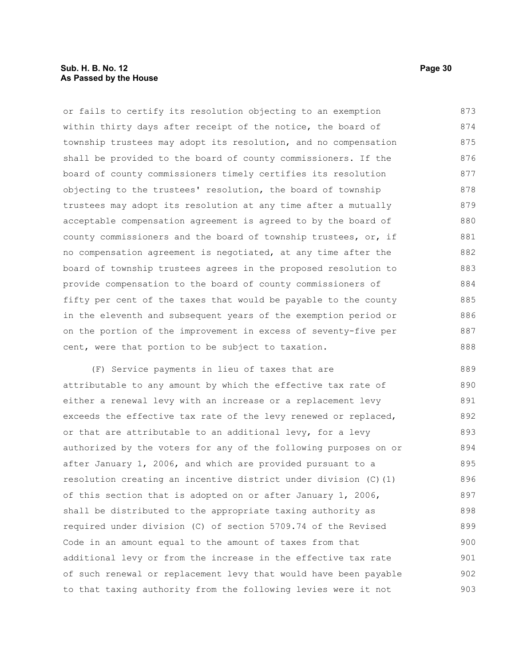#### **Sub. H. B. No. 12 Page 30 As Passed by the House**

or fails to certify its resolution objecting to an exemption within thirty days after receipt of the notice, the board of township trustees may adopt its resolution, and no compensation shall be provided to the board of county commissioners. If the board of county commissioners timely certifies its resolution objecting to the trustees' resolution, the board of township trustees may adopt its resolution at any time after a mutually acceptable compensation agreement is agreed to by the board of county commissioners and the board of township trustees, or, if no compensation agreement is negotiated, at any time after the board of township trustees agrees in the proposed resolution to provide compensation to the board of county commissioners of fifty per cent of the taxes that would be payable to the county in the eleventh and subsequent years of the exemption period or on the portion of the improvement in excess of seventy-five per cent, were that portion to be subject to taxation. 873 874 875 876 877 878 879 880 881 882 883 884 885 886 887 888

(F) Service payments in lieu of taxes that are attributable to any amount by which the effective tax rate of either a renewal levy with an increase or a replacement levy exceeds the effective tax rate of the levy renewed or replaced, or that are attributable to an additional levy, for a levy authorized by the voters for any of the following purposes on or after January 1, 2006, and which are provided pursuant to a resolution creating an incentive district under division (C)(1) of this section that is adopted on or after January 1, 2006, shall be distributed to the appropriate taxing authority as required under division (C) of section 5709.74 of the Revised Code in an amount equal to the amount of taxes from that additional levy or from the increase in the effective tax rate of such renewal or replacement levy that would have been payable to that taxing authority from the following levies were it not 889 890 891 892 893 894 895 896 897 898 899 900 901 902 903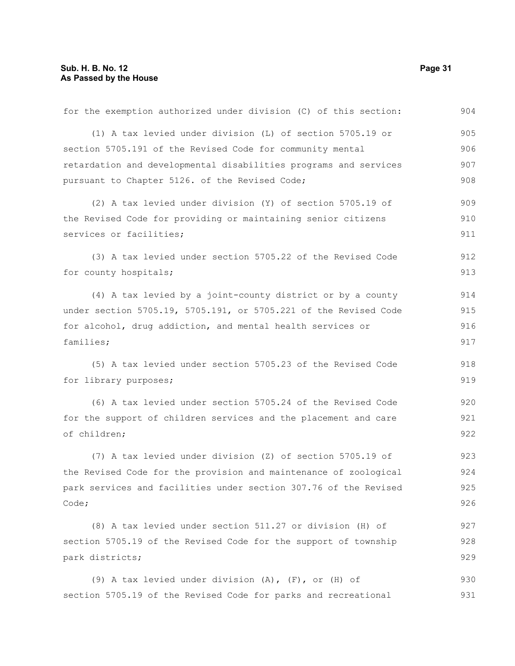| for the exemption authorized under division (C) of this section: | 904 |
|------------------------------------------------------------------|-----|
| (1) A tax levied under division (L) of section 5705.19 or        | 905 |
| section 5705.191 of the Revised Code for community mental        | 906 |
| retardation and developmental disabilities programs and services | 907 |
| pursuant to Chapter 5126. of the Revised Code;                   | 908 |
| (2) A tax levied under division (Y) of section 5705.19 of        | 909 |
| the Revised Code for providing or maintaining senior citizens    | 910 |
| services or facilities;                                          | 911 |
| (3) A tax levied under section 5705.22 of the Revised Code       | 912 |
| for county hospitals;                                            | 913 |
| (4) A tax levied by a joint-county district or by a county       | 914 |
| under section 5705.19, 5705.191, or 5705.221 of the Revised Code | 915 |
| for alcohol, drug addiction, and mental health services or       | 916 |
| families;                                                        | 917 |
| (5) A tax levied under section 5705.23 of the Revised Code       | 918 |
| for library purposes;                                            | 919 |
| (6) A tax levied under section 5705.24 of the Revised Code       | 920 |
| for the support of children services and the placement and care  | 921 |
| of children;                                                     | 922 |
| (7) A tax levied under division (Z) of section 5705.19 of        | 923 |
| the Revised Code for the provision and maintenance of zoological | 924 |
| park services and facilities under section 307.76 of the Revised | 925 |
| Code;                                                            | 926 |
| (8) A tax levied under section 511.27 or division (H) of         | 927 |
| section 5705.19 of the Revised Code for the support of township  | 928 |
| park districts;                                                  | 929 |
| (9) A tax levied under division (A), (F), or (H) of              | 930 |
| section 5705.19 of the Revised Code for parks and recreational   | 931 |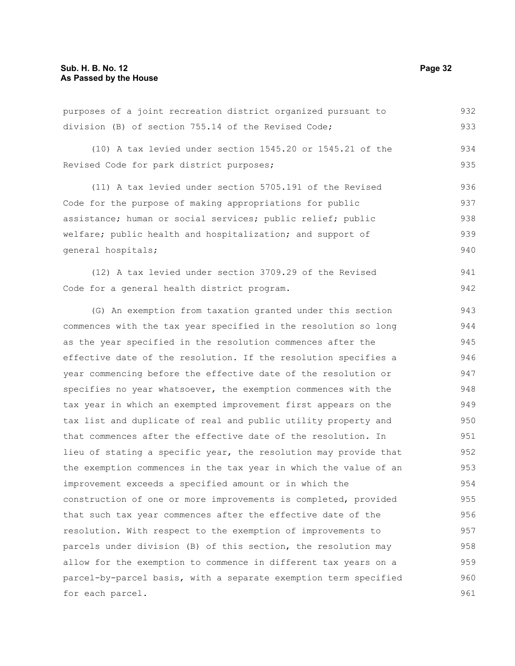|                                                       |  |  |  |  |  | purposes of a joint recreation district organized pursuant to |  | 932 |
|-------------------------------------------------------|--|--|--|--|--|---------------------------------------------------------------|--|-----|
| division (B) of section $755.14$ of the Revised Code; |  |  |  |  |  |                                                               |  | 933 |

(10) A tax levied under section 1545.20 or 1545.21 of the Revised Code for park district purposes;

(11) A tax levied under section 5705.191 of the Revised Code for the purpose of making appropriations for public assistance; human or social services; public relief; public welfare; public health and hospitalization; and support of general hospitals; 936 937 938 939 940

(12) A tax levied under section 3709.29 of the Revised Code for a general health district program. 941 942

(G) An exemption from taxation granted under this section commences with the tax year specified in the resolution so long as the year specified in the resolution commences after the effective date of the resolution. If the resolution specifies a year commencing before the effective date of the resolution or specifies no year whatsoever, the exemption commences with the tax year in which an exempted improvement first appears on the tax list and duplicate of real and public utility property and that commences after the effective date of the resolution. In lieu of stating a specific year, the resolution may provide that the exemption commences in the tax year in which the value of an improvement exceeds a specified amount or in which the construction of one or more improvements is completed, provided that such tax year commences after the effective date of the resolution. With respect to the exemption of improvements to parcels under division (B) of this section, the resolution may allow for the exemption to commence in different tax years on a parcel-by-parcel basis, with a separate exemption term specified for each parcel. 943 944 945 946 947 948 949 950 951 952 953 954 955 956 957 958 959 960 961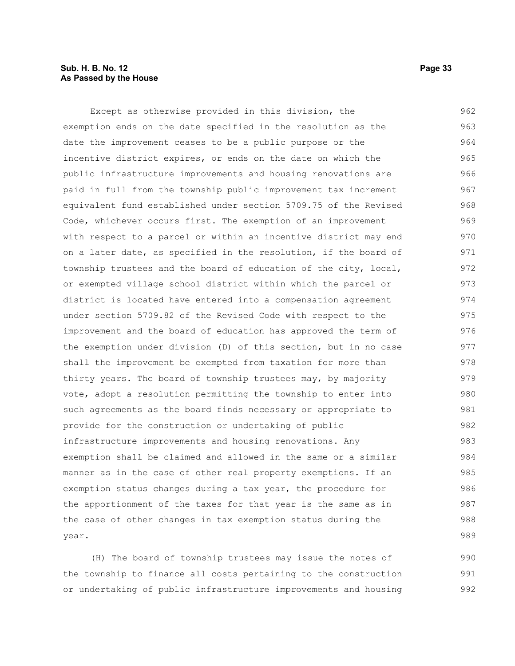#### **Sub. H. B. No. 12 Page 33 As Passed by the House**

Except as otherwise provided in this division, the exemption ends on the date specified in the resolution as the date the improvement ceases to be a public purpose or the incentive district expires, or ends on the date on which the public infrastructure improvements and housing renovations are paid in full from the township public improvement tax increment equivalent fund established under section 5709.75 of the Revised Code, whichever occurs first. The exemption of an improvement with respect to a parcel or within an incentive district may end on a later date, as specified in the resolution, if the board of township trustees and the board of education of the city, local, or exempted village school district within which the parcel or district is located have entered into a compensation agreement under section 5709.82 of the Revised Code with respect to the improvement and the board of education has approved the term of the exemption under division (D) of this section, but in no case shall the improvement be exempted from taxation for more than thirty years. The board of township trustees may, by majority vote, adopt a resolution permitting the township to enter into such agreements as the board finds necessary or appropriate to provide for the construction or undertaking of public infrastructure improvements and housing renovations. Any exemption shall be claimed and allowed in the same or a similar manner as in the case of other real property exemptions. If an exemption status changes during a tax year, the procedure for the apportionment of the taxes for that year is the same as in the case of other changes in tax exemption status during the year. 962 963 964 965 966 967 968 969 970 971 972 973 974 975 976 977 978 979 980 981 982 983 984 985 986 987 988 989

(H) The board of township trustees may issue the notes of the township to finance all costs pertaining to the construction or undertaking of public infrastructure improvements and housing 990 991 992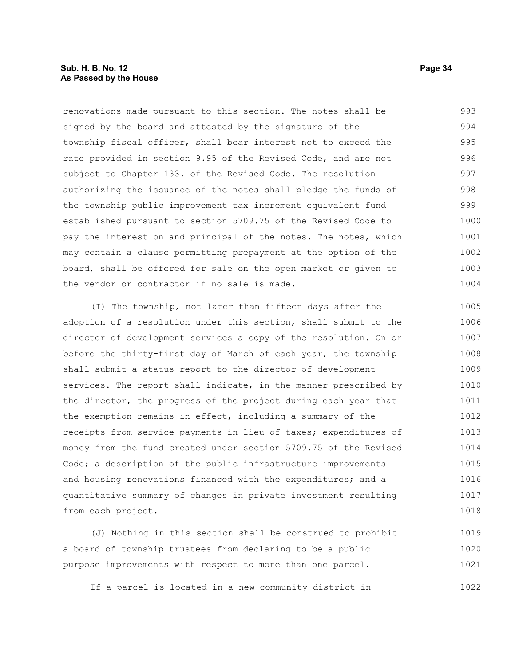#### **Sub. H. B. No. 12 Page 34 As Passed by the House**

renovations made pursuant to this section. The notes shall be signed by the board and attested by the signature of the township fiscal officer, shall bear interest not to exceed the rate provided in section 9.95 of the Revised Code, and are not subject to Chapter 133. of the Revised Code. The resolution authorizing the issuance of the notes shall pledge the funds of the township public improvement tax increment equivalent fund established pursuant to section 5709.75 of the Revised Code to pay the interest on and principal of the notes. The notes, which may contain a clause permitting prepayment at the option of the board, shall be offered for sale on the open market or given to the vendor or contractor if no sale is made. 993 994 995 996 997 998 999 1000 1001 1002 1003 1004

(I) The township, not later than fifteen days after the adoption of a resolution under this section, shall submit to the director of development services a copy of the resolution. On or before the thirty-first day of March of each year, the township shall submit a status report to the director of development services. The report shall indicate, in the manner prescribed by the director, the progress of the project during each year that the exemption remains in effect, including a summary of the receipts from service payments in lieu of taxes; expenditures of money from the fund created under section 5709.75 of the Revised Code; a description of the public infrastructure improvements and housing renovations financed with the expenditures; and a quantitative summary of changes in private investment resulting from each project. 1005 1006 1007 1008 1009 1010 1011 1012 1013 1014 1015 1016 1017 1018

(J) Nothing in this section shall be construed to prohibit a board of township trustees from declaring to be a public purpose improvements with respect to more than one parcel. 1019 1020 1021

If a parcel is located in a new community district in 1022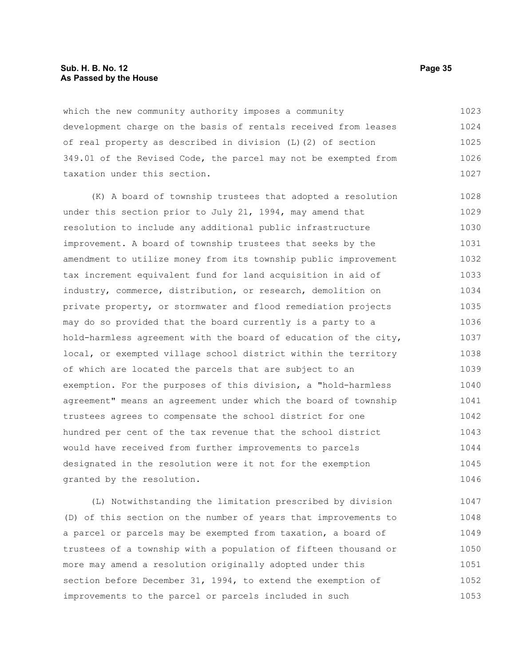#### **Sub. H. B. No. 12 Page 35 As Passed by the House**

which the new community authority imposes a community development charge on the basis of rentals received from leases of real property as described in division (L)(2) of section 349.01 of the Revised Code, the parcel may not be exempted from taxation under this section. 1023 1024 1025 1026 1027

(K) A board of township trustees that adopted a resolution under this section prior to July 21, 1994, may amend that resolution to include any additional public infrastructure improvement. A board of township trustees that seeks by the amendment to utilize money from its township public improvement tax increment equivalent fund for land acquisition in aid of industry, commerce, distribution, or research, demolition on private property, or stormwater and flood remediation projects may do so provided that the board currently is a party to a hold-harmless agreement with the board of education of the city, local, or exempted village school district within the territory of which are located the parcels that are subject to an exemption. For the purposes of this division, a "hold-harmless agreement" means an agreement under which the board of township trustees agrees to compensate the school district for one hundred per cent of the tax revenue that the school district would have received from further improvements to parcels designated in the resolution were it not for the exemption granted by the resolution. 1028 1029 1030 1031 1032 1033 1034 1035 1036 1037 1038 1039 1040 1041 1042 1043 1044 1045 1046

(L) Notwithstanding the limitation prescribed by division (D) of this section on the number of years that improvements to a parcel or parcels may be exempted from taxation, a board of trustees of a township with a population of fifteen thousand or more may amend a resolution originally adopted under this section before December 31, 1994, to extend the exemption of improvements to the parcel or parcels included in such 1047 1048 1049 1050 1051 1052 1053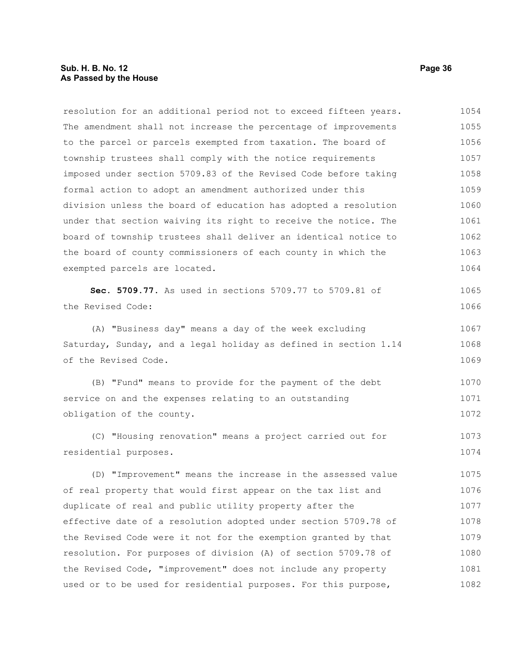#### **Sub. H. B. No. 12 Page 36 As Passed by the House**

resolution for an additional period not to exceed fifteen years. The amendment shall not increase the percentage of improvements to the parcel or parcels exempted from taxation. The board of township trustees shall comply with the notice requirements imposed under section 5709.83 of the Revised Code before taking formal action to adopt an amendment authorized under this division unless the board of education has adopted a resolution under that section waiving its right to receive the notice. The board of township trustees shall deliver an identical notice to the board of county commissioners of each county in which the exempted parcels are located. 1054 1055 1056 1057 1058 1059 1060 1061 1062 1063 1064

**Sec. 5709.77.** As used in sections 5709.77 to 5709.81 of the Revised Code:

(A) "Business day" means a day of the week excluding Saturday, Sunday, and a legal holiday as defined in section 1.14 of the Revised Code. 1067 1068 1069

(B) "Fund" means to provide for the payment of the debt service on and the expenses relating to an outstanding obligation of the county. 1070 1071 1072

(C) "Housing renovation" means a project carried out for residential purposes. 1073 1074

(D) "Improvement" means the increase in the assessed value of real property that would first appear on the tax list and duplicate of real and public utility property after the effective date of a resolution adopted under section 5709.78 of the Revised Code were it not for the exemption granted by that resolution. For purposes of division (A) of section 5709.78 of the Revised Code, "improvement" does not include any property used or to be used for residential purposes. For this purpose, 1075 1076 1077 1078 1079 1080 1081 1082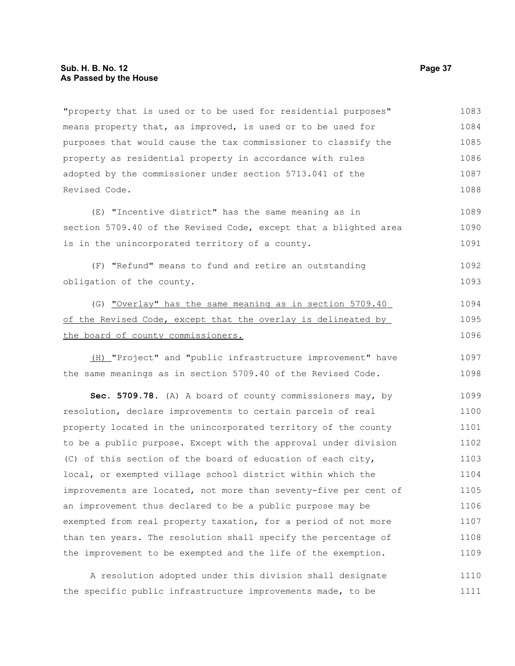"property that is used or to be used for residential purposes" means property that, as improved, is used or to be used for purposes that would cause the tax commissioner to classify the property as residential property in accordance with rules adopted by the commissioner under section 5713.041 of the Revised Code. 1083 1084 1085 1086 1087 1088

(E) "Incentive district" has the same meaning as in section 5709.40 of the Revised Code, except that a blighted area is in the unincorporated territory of a county. 1089 1090 1091

(F) "Refund" means to fund and retire an outstanding obligation of the county.

(G) "Overlay" has the same meaning as in section 5709.40 of the Revised Code, except that the overlay is delineated by the board of county commissioners.

 (H) "Project" and "public infrastructure improvement" have the same meanings as in section 5709.40 of the Revised Code.

**Sec. 5709.78.** (A) A board of county commissioners may, by resolution, declare improvements to certain parcels of real property located in the unincorporated territory of the county to be a public purpose. Except with the approval under division (C) of this section of the board of education of each city, local, or exempted village school district within which the improvements are located, not more than seventy-five per cent of an improvement thus declared to be a public purpose may be exempted from real property taxation, for a period of not more than ten years. The resolution shall specify the percentage of the improvement to be exempted and the life of the exemption. 1099 1100 1101 1102 1103 1104 1105 1106 1107 1108 1109

A resolution adopted under this division shall designate the specific public infrastructure improvements made, to be 1110 1111

1092 1093

1094 1095 1096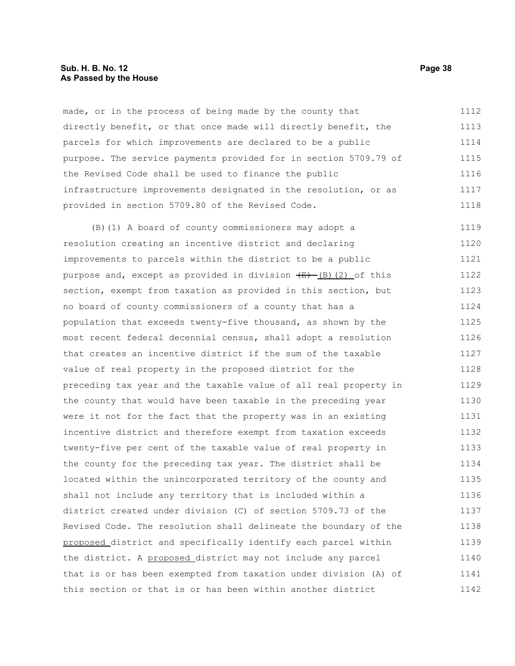#### **Sub. H. B. No. 12 Page 38 As Passed by the House**

made, or in the process of being made by the county that directly benefit, or that once made will directly benefit, the parcels for which improvements are declared to be a public purpose. The service payments provided for in section 5709.79 of the Revised Code shall be used to finance the public infrastructure improvements designated in the resolution, or as provided in section 5709.80 of the Revised Code. 1112 1113 1114 1115 1116 1117 1118

(B)(1) A board of county commissioners may adopt a resolution creating an incentive district and declaring improvements to parcels within the district to be a public purpose and, except as provided in division  $\frac{1}{(E)}$  (8)(2) of this section, exempt from taxation as provided in this section, but no board of county commissioners of a county that has a population that exceeds twenty-five thousand, as shown by the most recent federal decennial census, shall adopt a resolution that creates an incentive district if the sum of the taxable value of real property in the proposed district for the preceding tax year and the taxable value of all real property in the county that would have been taxable in the preceding year were it not for the fact that the property was in an existing incentive district and therefore exempt from taxation exceeds twenty-five per cent of the taxable value of real property in the county for the preceding tax year. The district shall be located within the unincorporated territory of the county and shall not include any territory that is included within a district created under division (C) of section 5709.73 of the Revised Code. The resolution shall delineate the boundary of the proposed district and specifically identify each parcel within the district. A proposed district may not include any parcel that is or has been exempted from taxation under division (A) of this section or that is or has been within another district 1119 1120 1121 1122 1123 1124 1125 1126 1127 1128 1129 1130 1131 1132 1133 1134 1135 1136 1137 1138 1139 1140 1141 1142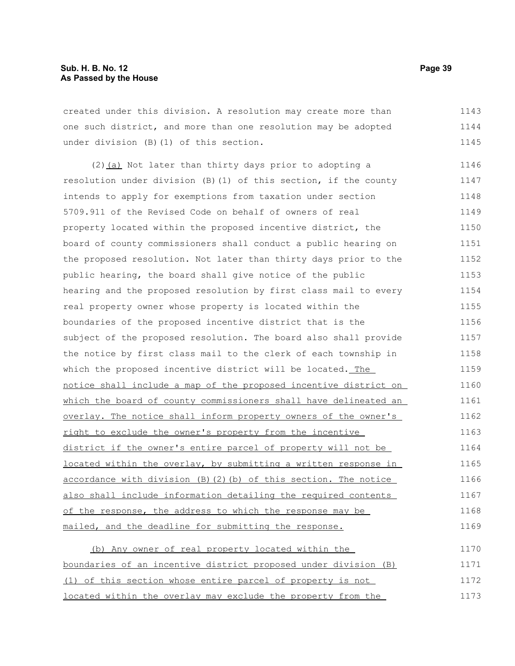created under this division. A resolution may create more than one such district, and more than one resolution may be adopted under division (B)(1) of this section. 1143 1144 1145

(2) (a) Not later than thirty days prior to adopting a resolution under division (B)(1) of this section, if the county intends to apply for exemptions from taxation under section 5709.911 of the Revised Code on behalf of owners of real property located within the proposed incentive district, the board of county commissioners shall conduct a public hearing on the proposed resolution. Not later than thirty days prior to the public hearing, the board shall give notice of the public hearing and the proposed resolution by first class mail to every real property owner whose property is located within the boundaries of the proposed incentive district that is the subject of the proposed resolution. The board also shall provide the notice by first class mail to the clerk of each township in which the proposed incentive district will be located. The notice shall include a map of the proposed incentive district on which the board of county commissioners shall have delineated an overlay. The notice shall inform property owners of the owner's right to exclude the owner's property from the incentive district if the owner's entire parcel of property will not be located within the overlay, by submitting a written response in accordance with division (B)(2)(b) of this section. The notice also shall include information detailing the required contents of the response, the address to which the response may be mailed, and the deadline for submitting the response. 1146 1147 1148 1149 1150 1151 1152 1153 1154 1155 1156 1157 1158 1159 1160 1161 1162 1163 1164 1165 1166 1167 1168 1169

(b) Any owner of real property located within the boundaries of an incentive district proposed under division (B) (1) of this section whose entire parcel of property is not located within the overlay may exclude the property from the 1170 1171 1172 1173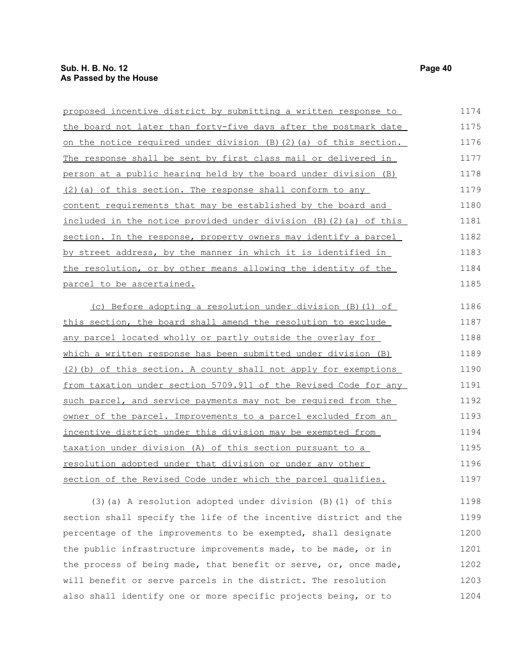| proposed incentive district by submitting a written response to    | 1174 |
|--------------------------------------------------------------------|------|
| the board not later than forty-five days after the postmark date   | 1175 |
| on the notice required under division (B) (2) (a) of this section. | 1176 |
| The response shall be sent by first class mail or delivered in     | 1177 |
| person at a public hearing held by the board under division (B)    | 1178 |
| (2) (a) of this section. The response shall conform to any         | 1179 |
| content requirements that may be established by the board and      | 1180 |
| included in the notice provided under division (B) (2) (a) of this | 1181 |
| section. In the response, property owners may identify a parcel    | 1182 |
| by street address, by the manner in which it is identified in      | 1183 |
| the resolution, or by other means allowing the identity of the     | 1184 |
| parcel to be ascertained.                                          | 1185 |
| (c) Before adopting a resolution under division (B) (1) of         | 1186 |
| this section, the board shall amend the resolution to exclude      | 1187 |
| any parcel located wholly or partly outside the overlay for        | 1188 |
| which a written response has been submitted under division (B)     | 1189 |
| (2) (b) of this section. A county shall not apply for exemptions   | 1190 |
| from taxation under section 5709.911 of the Revised Code for any   | 1191 |
| such parcel, and service payments may not be required from the     | 1192 |
| owner of the parcel. Improvements to a parcel excluded from an     | 1193 |
| incentive district under this division may be exempted from        | 1194 |
| taxation under division (A) of this section pursuant to a          | 1195 |
| resolution adopted under that division or under any other          | 1196 |
| section of the Revised Code under which the parcel qualifies.      | 1197 |
| (3) (a) A resolution adopted under division (B) (1) of this        | 1198 |
| section shall specify the life of the incentive district and the   | 1199 |

section shall specify the life of the incentive district and the percentage of the improvements to be exempted, shall designate the public infrastructure improvements made, to be made, or in the process of being made, that benefit or serve, or, once made, will benefit or serve parcels in the district. The resolution also shall identify one or more specific projects being, or to 1200 1201 1202 1203 1204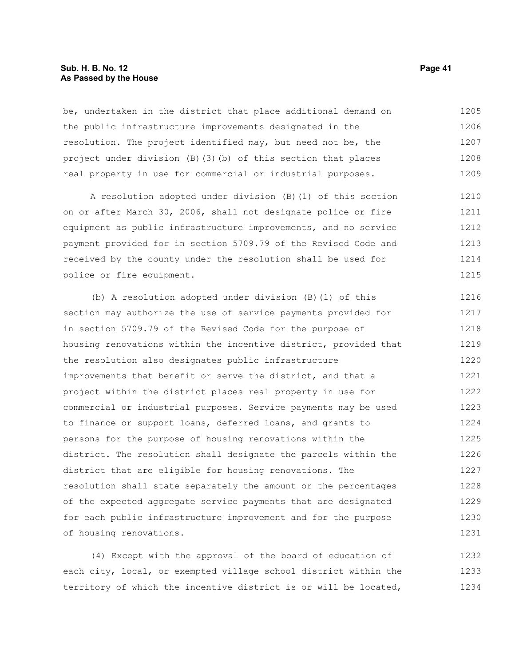#### **Sub. H. B. No. 12 Page 41 As Passed by the House**

be, undertaken in the district that place additional demand on the public infrastructure improvements designated in the resolution. The project identified may, but need not be, the project under division (B)(3)(b) of this section that places real property in use for commercial or industrial purposes. 1205 1206 1207 1208 1209

A resolution adopted under division (B)(1) of this section on or after March 30, 2006, shall not designate police or fire equipment as public infrastructure improvements, and no service payment provided for in section 5709.79 of the Revised Code and received by the county under the resolution shall be used for police or fire equipment. 1210 1211 1212 1213 1214 1215

(b) A resolution adopted under division (B)(1) of this section may authorize the use of service payments provided for in section 5709.79 of the Revised Code for the purpose of housing renovations within the incentive district, provided that the resolution also designates public infrastructure improvements that benefit or serve the district, and that a project within the district places real property in use for commercial or industrial purposes. Service payments may be used to finance or support loans, deferred loans, and grants to persons for the purpose of housing renovations within the district. The resolution shall designate the parcels within the district that are eligible for housing renovations. The resolution shall state separately the amount or the percentages of the expected aggregate service payments that are designated for each public infrastructure improvement and for the purpose of housing renovations. 1216 1217 1218 1219 1220 1221 1222 1223 1224 1225 1226 1227 1228 1229 1230 1231

(4) Except with the approval of the board of education of each city, local, or exempted village school district within the territory of which the incentive district is or will be located, 1232 1233 1234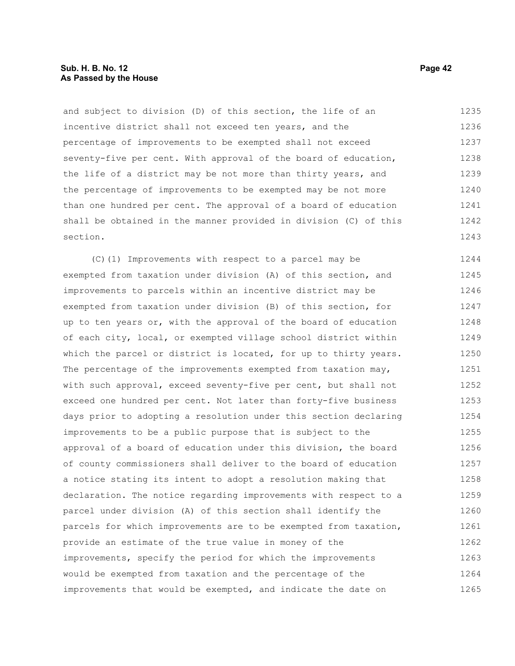and subject to division (D) of this section, the life of an incentive district shall not exceed ten years, and the percentage of improvements to be exempted shall not exceed seventy-five per cent. With approval of the board of education, the life of a district may be not more than thirty years, and the percentage of improvements to be exempted may be not more than one hundred per cent. The approval of a board of education shall be obtained in the manner provided in division (C) of this section. 1235 1236 1237 1238 1239 1240 1241 1242 1243

(C)(1) Improvements with respect to a parcel may be exempted from taxation under division (A) of this section, and improvements to parcels within an incentive district may be exempted from taxation under division (B) of this section, for up to ten years or, with the approval of the board of education of each city, local, or exempted village school district within which the parcel or district is located, for up to thirty years. The percentage of the improvements exempted from taxation may, with such approval, exceed seventy-five per cent, but shall not exceed one hundred per cent. Not later than forty-five business days prior to adopting a resolution under this section declaring improvements to be a public purpose that is subject to the approval of a board of education under this division, the board of county commissioners shall deliver to the board of education a notice stating its intent to adopt a resolution making that declaration. The notice regarding improvements with respect to a parcel under division (A) of this section shall identify the parcels for which improvements are to be exempted from taxation, provide an estimate of the true value in money of the improvements, specify the period for which the improvements would be exempted from taxation and the percentage of the improvements that would be exempted, and indicate the date on 1244 1245 1246 1247 1248 1249 1250 1251 1252 1253 1254 1255 1256 1257 1258 1259 1260 1261 1262 1263 1264 1265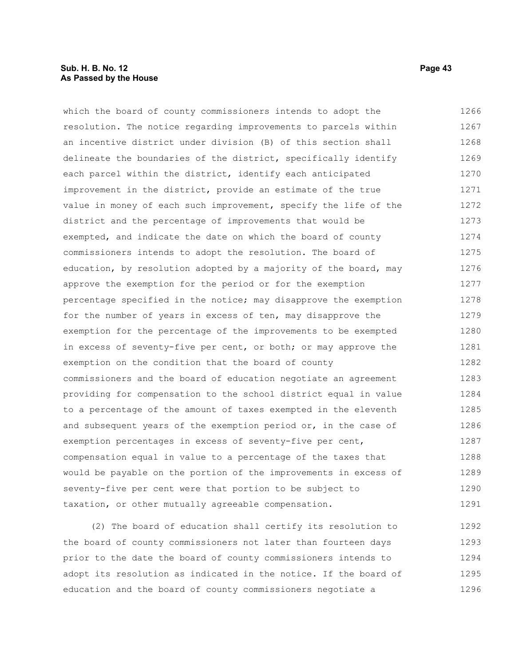#### **Sub. H. B. No. 12 Page 43 As Passed by the House**

which the board of county commissioners intends to adopt the resolution. The notice regarding improvements to parcels within an incentive district under division (B) of this section shall delineate the boundaries of the district, specifically identify each parcel within the district, identify each anticipated improvement in the district, provide an estimate of the true value in money of each such improvement, specify the life of the district and the percentage of improvements that would be exempted, and indicate the date on which the board of county commissioners intends to adopt the resolution. The board of education, by resolution adopted by a majority of the board, may approve the exemption for the period or for the exemption percentage specified in the notice; may disapprove the exemption for the number of years in excess of ten, may disapprove the exemption for the percentage of the improvements to be exempted in excess of seventy-five per cent, or both; or may approve the exemption on the condition that the board of county commissioners and the board of education negotiate an agreement providing for compensation to the school district equal in value to a percentage of the amount of taxes exempted in the eleventh and subsequent years of the exemption period or, in the case of exemption percentages in excess of seventy-five per cent, compensation equal in value to a percentage of the taxes that would be payable on the portion of the improvements in excess of seventy-five per cent were that portion to be subject to taxation, or other mutually agreeable compensation. 1266 1267 1268 1269 1270 1271 1272 1273 1274 1275 1276 1277 1278 1279 1280 1281 1282 1283 1284 1285 1286 1287 1288 1289 1290 1291

(2) The board of education shall certify its resolution to the board of county commissioners not later than fourteen days prior to the date the board of county commissioners intends to adopt its resolution as indicated in the notice. If the board of education and the board of county commissioners negotiate a 1292 1293 1294 1295 1296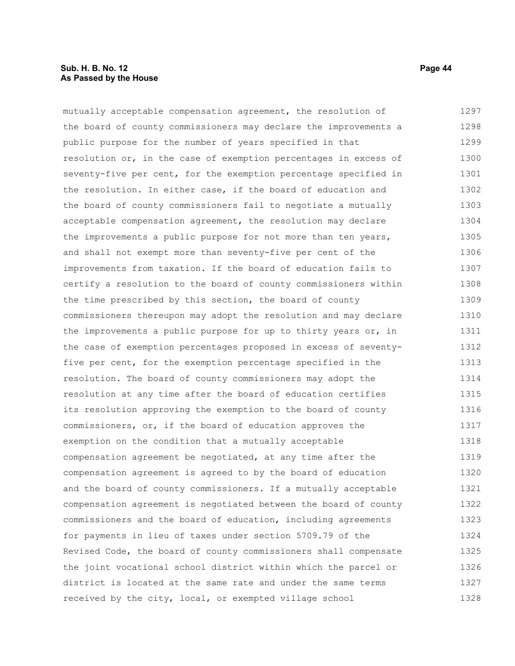#### **Sub. H. B. No. 12 Page 44 As Passed by the House**

mutually acceptable compensation agreement, the resolution of the board of county commissioners may declare the improvements a public purpose for the number of years specified in that resolution or, in the case of exemption percentages in excess of seventy-five per cent, for the exemption percentage specified in the resolution. In either case, if the board of education and the board of county commissioners fail to negotiate a mutually acceptable compensation agreement, the resolution may declare the improvements a public purpose for not more than ten years, and shall not exempt more than seventy-five per cent of the improvements from taxation. If the board of education fails to certify a resolution to the board of county commissioners within the time prescribed by this section, the board of county commissioners thereupon may adopt the resolution and may declare the improvements a public purpose for up to thirty years or, in the case of exemption percentages proposed in excess of seventyfive per cent, for the exemption percentage specified in the resolution. The board of county commissioners may adopt the resolution at any time after the board of education certifies its resolution approving the exemption to the board of county commissioners, or, if the board of education approves the exemption on the condition that a mutually acceptable compensation agreement be negotiated, at any time after the compensation agreement is agreed to by the board of education and the board of county commissioners. If a mutually acceptable compensation agreement is negotiated between the board of county commissioners and the board of education, including agreements for payments in lieu of taxes under section 5709.79 of the Revised Code, the board of county commissioners shall compensate the joint vocational school district within which the parcel or district is located at the same rate and under the same terms received by the city, local, or exempted village school 1297 1298 1299 1300 1301 1302 1303 1304 1305 1306 1307 1308 1309 1310 1311 1312 1313 1314 1315 1316 1317 1318 1319 1320 1321 1322 1323 1324 1325 1326 1327 1328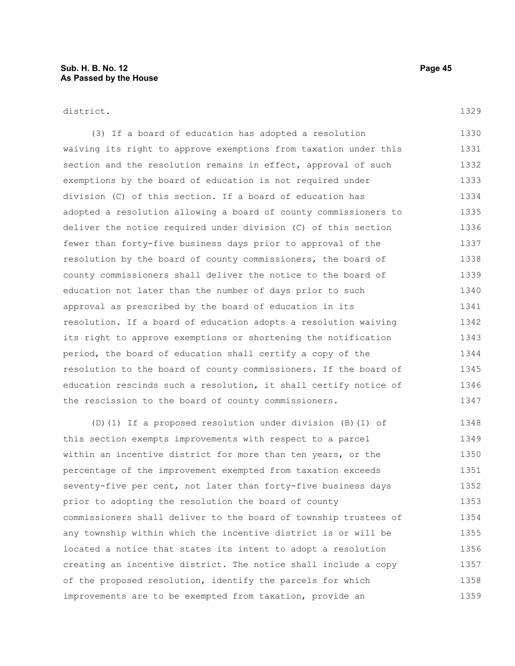#### district.

(3) If a board of education has adopted a resolution waiving its right to approve exemptions from taxation under this section and the resolution remains in effect, approval of such exemptions by the board of education is not required under division (C) of this section. If a board of education has adopted a resolution allowing a board of county commissioners to deliver the notice required under division (C) of this section fewer than forty-five business days prior to approval of the resolution by the board of county commissioners, the board of county commissioners shall deliver the notice to the board of education not later than the number of days prior to such approval as prescribed by the board of education in its resolution. If a board of education adopts a resolution waiving its right to approve exemptions or shortening the notification period, the board of education shall certify a copy of the resolution to the board of county commissioners. If the board of education rescinds such a resolution, it shall certify notice of the rescission to the board of county commissioners. 1330 1331 1332 1333 1334 1335 1336 1337 1338 1339 1340 1341 1342 1343 1344 1345 1346 1347

(D)(1) If a proposed resolution under division (B)(1) of this section exempts improvements with respect to a parcel within an incentive district for more than ten years, or the percentage of the improvement exempted from taxation exceeds seventy-five per cent, not later than forty-five business days prior to adopting the resolution the board of county commissioners shall deliver to the board of township trustees of any township within which the incentive district is or will be located a notice that states its intent to adopt a resolution creating an incentive district. The notice shall include a copy of the proposed resolution, identify the parcels for which improvements are to be exempted from taxation, provide an 1348 1349 1350 1351 1352 1353 1354 1355 1356 1357 1358 1359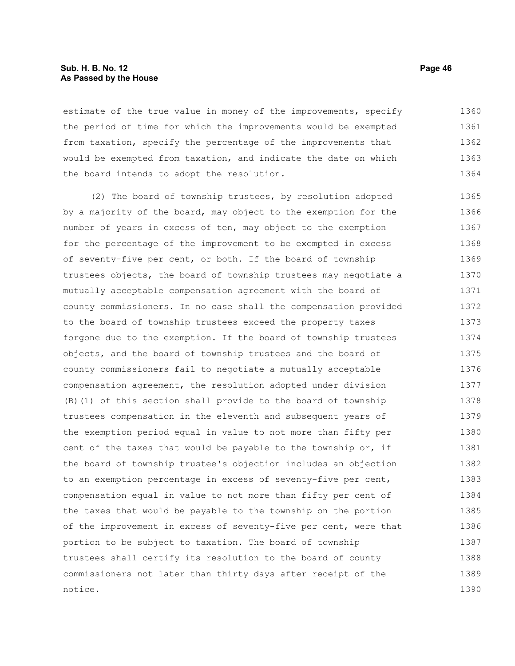#### **Sub. H. B. No. 12 Page 46 As Passed by the House**

estimate of the true value in money of the improvements, specify the period of time for which the improvements would be exempted from taxation, specify the percentage of the improvements that would be exempted from taxation, and indicate the date on which the board intends to adopt the resolution. 1360 1361 1362 1363 1364

(2) The board of township trustees, by resolution adopted by a majority of the board, may object to the exemption for the number of years in excess of ten, may object to the exemption for the percentage of the improvement to be exempted in excess of seventy-five per cent, or both. If the board of township trustees objects, the board of township trustees may negotiate a mutually acceptable compensation agreement with the board of county commissioners. In no case shall the compensation provided to the board of township trustees exceed the property taxes forgone due to the exemption. If the board of township trustees objects, and the board of township trustees and the board of county commissioners fail to negotiate a mutually acceptable compensation agreement, the resolution adopted under division (B)(1) of this section shall provide to the board of township trustees compensation in the eleventh and subsequent years of the exemption period equal in value to not more than fifty per cent of the taxes that would be payable to the township or, if the board of township trustee's objection includes an objection to an exemption percentage in excess of seventy-five per cent, compensation equal in value to not more than fifty per cent of the taxes that would be payable to the township on the portion of the improvement in excess of seventy-five per cent, were that portion to be subject to taxation. The board of township trustees shall certify its resolution to the board of county commissioners not later than thirty days after receipt of the notice. 1365 1366 1367 1368 1369 1370 1371 1372 1373 1374 1375 1376 1377 1378 1379 1380 1381 1382 1383 1384 1385 1386 1387 1388 1389 1390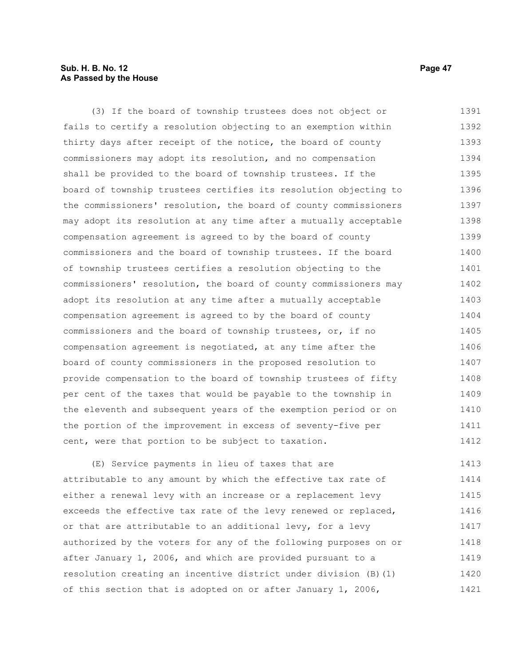#### **Sub. H. B. No. 12 Page 47 As Passed by the House**

(3) If the board of township trustees does not object or fails to certify a resolution objecting to an exemption within thirty days after receipt of the notice, the board of county commissioners may adopt its resolution, and no compensation shall be provided to the board of township trustees. If the board of township trustees certifies its resolution objecting to the commissioners' resolution, the board of county commissioners may adopt its resolution at any time after a mutually acceptable compensation agreement is agreed to by the board of county commissioners and the board of township trustees. If the board of township trustees certifies a resolution objecting to the commissioners' resolution, the board of county commissioners may adopt its resolution at any time after a mutually acceptable compensation agreement is agreed to by the board of county commissioners and the board of township trustees, or, if no compensation agreement is negotiated, at any time after the board of county commissioners in the proposed resolution to provide compensation to the board of township trustees of fifty per cent of the taxes that would be payable to the township in the eleventh and subsequent years of the exemption period or on the portion of the improvement in excess of seventy-five per cent, were that portion to be subject to taxation. 1391 1392 1393 1394 1395 1396 1397 1398 1399 1400 1401 1402 1403 1404 1405 1406 1407 1408 1409 1410 1411 1412

(E) Service payments in lieu of taxes that are attributable to any amount by which the effective tax rate of either a renewal levy with an increase or a replacement levy exceeds the effective tax rate of the levy renewed or replaced, or that are attributable to an additional levy, for a levy authorized by the voters for any of the following purposes on or after January 1, 2006, and which are provided pursuant to a resolution creating an incentive district under division (B)(1) of this section that is adopted on or after January 1, 2006, 1413 1414 1415 1416 1417 1418 1419 1420 1421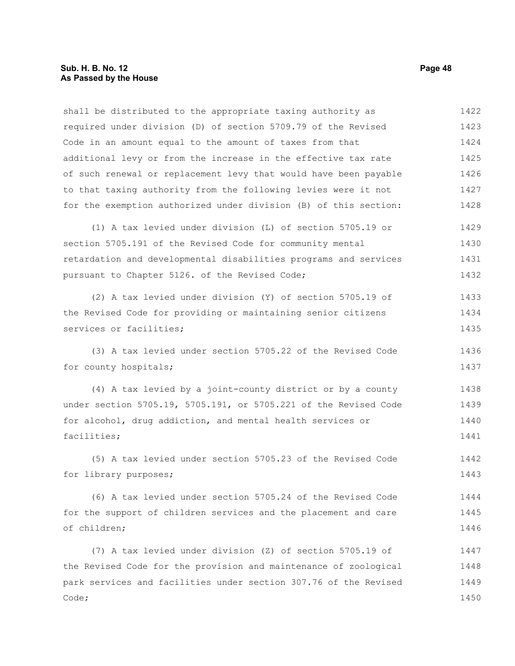#### **Sub. H. B. No. 12 Page 48 As Passed by the House**

shall be distributed to the appropriate taxing authority as required under division (D) of section 5709.79 of the Revised Code in an amount equal to the amount of taxes from that additional levy or from the increase in the effective tax rate of such renewal or replacement levy that would have been payable to that taxing authority from the following levies were it not for the exemption authorized under division (B) of this section: 1422 1423 1424 1425 1426 1427 1428

(1) A tax levied under division (L) of section 5705.19 or section 5705.191 of the Revised Code for community mental retardation and developmental disabilities programs and services pursuant to Chapter 5126. of the Revised Code; 1429 1430 1431 1432

(2) A tax levied under division (Y) of section 5705.19 of the Revised Code for providing or maintaining senior citizens services or facilities; 1433 1434 1435

(3) A tax levied under section 5705.22 of the Revised Code for county hospitals; 1436 1437

(4) A tax levied by a joint-county district or by a county under section 5705.19, 5705.191, or 5705.221 of the Revised Code for alcohol, drug addiction, and mental health services or facilities; 1438 1439 1440 1441

(5) A tax levied under section 5705.23 of the Revised Code for library purposes; 1442 1443

(6) A tax levied under section 5705.24 of the Revised Code for the support of children services and the placement and care of children; 1444 1445 1446

(7) A tax levied under division (Z) of section 5705.19 of the Revised Code for the provision and maintenance of zoological park services and facilities under section 307.76 of the Revised Code; 1447 1448 1449 1450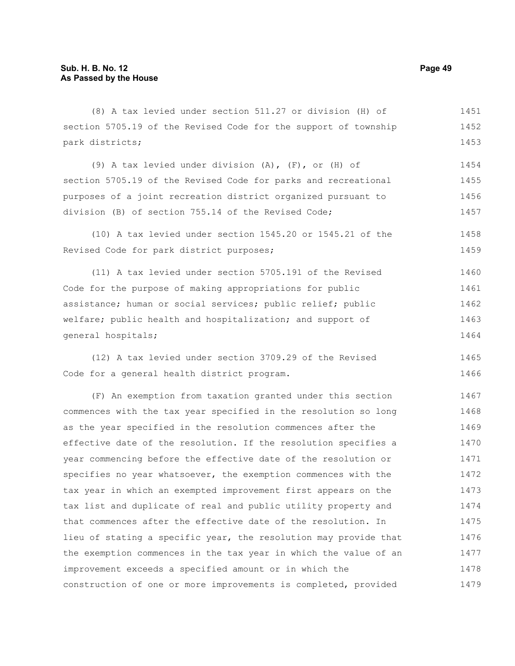(8) A tax levied under section 511.27 or division (H) of section 5705.19 of the Revised Code for the support of township park districts; 1451 1452 1453

(9) A tax levied under division (A), (F), or (H) of section 5705.19 of the Revised Code for parks and recreational purposes of a joint recreation district organized pursuant to division (B) of section 755.14 of the Revised Code; 1454 1455 1456 1457

(10) A tax levied under section 1545.20 or 1545.21 of the Revised Code for park district purposes; 1458 1459

(11) A tax levied under section 5705.191 of the Revised Code for the purpose of making appropriations for public assistance; human or social services; public relief; public welfare; public health and hospitalization; and support of general hospitals; 1460 1461 1462 1463 1464

(12) A tax levied under section 3709.29 of the Revised Code for a general health district program. 1465 1466

(F) An exemption from taxation granted under this section commences with the tax year specified in the resolution so long as the year specified in the resolution commences after the effective date of the resolution. If the resolution specifies a year commencing before the effective date of the resolution or specifies no year whatsoever, the exemption commences with the tax year in which an exempted improvement first appears on the tax list and duplicate of real and public utility property and that commences after the effective date of the resolution. In lieu of stating a specific year, the resolution may provide that the exemption commences in the tax year in which the value of an improvement exceeds a specified amount or in which the construction of one or more improvements is completed, provided 1467 1468 1469 1470 1471 1472 1473 1474 1475 1476 1477 1478 1479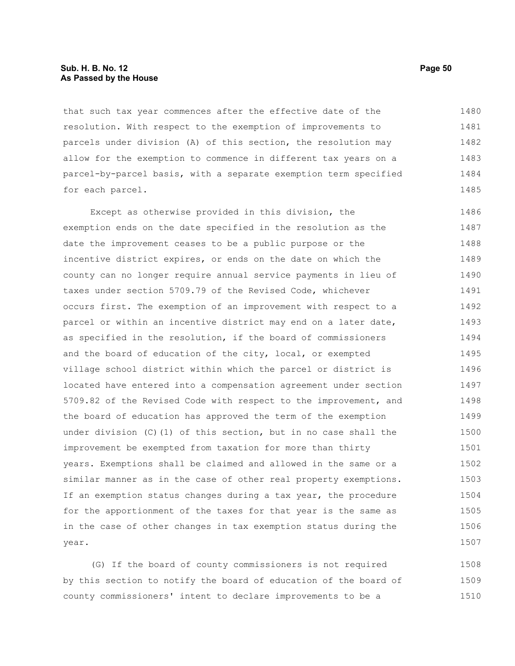#### **Sub. H. B. No. 12 Page 50 As Passed by the House**

that such tax year commences after the effective date of the resolution. With respect to the exemption of improvements to parcels under division (A) of this section, the resolution may allow for the exemption to commence in different tax years on a parcel-by-parcel basis, with a separate exemption term specified for each parcel. 1480 1481 1482 1483 1484 1485

Except as otherwise provided in this division, the exemption ends on the date specified in the resolution as the date the improvement ceases to be a public purpose or the incentive district expires, or ends on the date on which the county can no longer require annual service payments in lieu of taxes under section 5709.79 of the Revised Code, whichever occurs first. The exemption of an improvement with respect to a parcel or within an incentive district may end on a later date, as specified in the resolution, if the board of commissioners and the board of education of the city, local, or exempted village school district within which the parcel or district is located have entered into a compensation agreement under section 5709.82 of the Revised Code with respect to the improvement, and the board of education has approved the term of the exemption under division (C)(1) of this section, but in no case shall the improvement be exempted from taxation for more than thirty years. Exemptions shall be claimed and allowed in the same or a similar manner as in the case of other real property exemptions. If an exemption status changes during a tax year, the procedure for the apportionment of the taxes for that year is the same as in the case of other changes in tax exemption status during the year. 1486 1487 1488 1489 1490 1491 1492 1493 1494 1495 1496 1497 1498 1499 1500 1501 1502 1503 1504 1505 1506 1507

(G) If the board of county commissioners is not required by this section to notify the board of education of the board of county commissioners' intent to declare improvements to be a 1508 1509 1510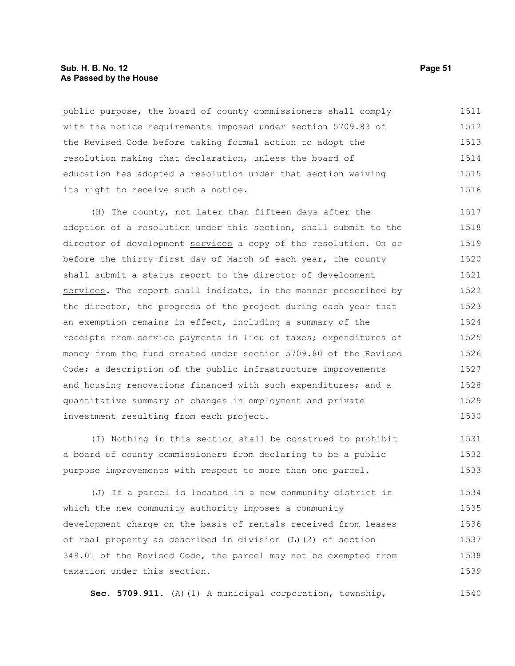#### **Sub. H. B. No. 12 Page 51 As Passed by the House**

public purpose, the board of county commissioners shall comply with the notice requirements imposed under section 5709.83 of the Revised Code before taking formal action to adopt the resolution making that declaration, unless the board of education has adopted a resolution under that section waiving its right to receive such a notice. 1511 1512 1513 1514 1515 1516

(H) The county, not later than fifteen days after the adoption of a resolution under this section, shall submit to the director of development services a copy of the resolution. On or before the thirty-first day of March of each year, the county shall submit a status report to the director of development services. The report shall indicate, in the manner prescribed by the director, the progress of the project during each year that an exemption remains in effect, including a summary of the receipts from service payments in lieu of taxes; expenditures of money from the fund created under section 5709.80 of the Revised Code; a description of the public infrastructure improvements and housing renovations financed with such expenditures; and a quantitative summary of changes in employment and private investment resulting from each project. 1517 1518 1519 1520 1521 1522 1523 1524 1525 1526 1527 1528 1529 1530

(I) Nothing in this section shall be construed to prohibit a board of county commissioners from declaring to be a public purpose improvements with respect to more than one parcel. 1531 1532 1533

(J) If a parcel is located in a new community district in which the new community authority imposes a community development charge on the basis of rentals received from leases of real property as described in division (L)(2) of section 349.01 of the Revised Code, the parcel may not be exempted from taxation under this section. 1534 1535 1536 1537 1538 1539

**Sec. 5709.911.** (A)(1) A municipal corporation, township, 1540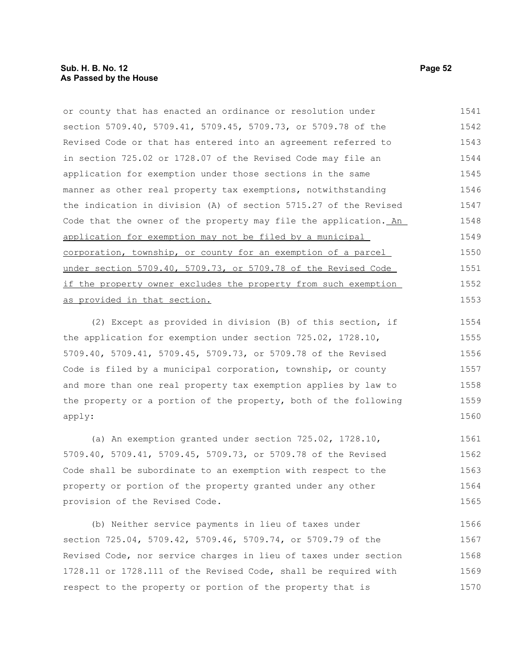or county that has enacted an ordinance or resolution under section 5709.40, 5709.41, 5709.45, 5709.73, or 5709.78 of the Revised Code or that has entered into an agreement referred to in section 725.02 or 1728.07 of the Revised Code may file an application for exemption under those sections in the same manner as other real property tax exemptions, notwithstanding the indication in division (A) of section 5715.27 of the Revised Code that the owner of the property may file the application. An application for exemption may not be filed by a municipal corporation, township, or county for an exemption of a parcel under section 5709.40, 5709.73, or 5709.78 of the Revised Code if the property owner excludes the property from such exemption as provided in that section. 1541 1542 1543 1544 1545 1546 1547 1548 1549 1550 1551 1552 1553

(2) Except as provided in division (B) of this section, if the application for exemption under section 725.02, 1728.10, 5709.40, 5709.41, 5709.45, 5709.73, or 5709.78 of the Revised Code is filed by a municipal corporation, township, or county and more than one real property tax exemption applies by law to the property or a portion of the property, both of the following apply: 1554 1555 1556 1557 1558 1559 1560

(a) An exemption granted under section 725.02, 1728.10, 5709.40, 5709.41, 5709.45, 5709.73, or 5709.78 of the Revised Code shall be subordinate to an exemption with respect to the property or portion of the property granted under any other provision of the Revised Code. 1561 1562 1563 1564 1565

(b) Neither service payments in lieu of taxes under section 725.04, 5709.42, 5709.46, 5709.74, or 5709.79 of the Revised Code, nor service charges in lieu of taxes under section 1728.11 or 1728.111 of the Revised Code, shall be required with respect to the property or portion of the property that is 1566 1567 1568 1569 1570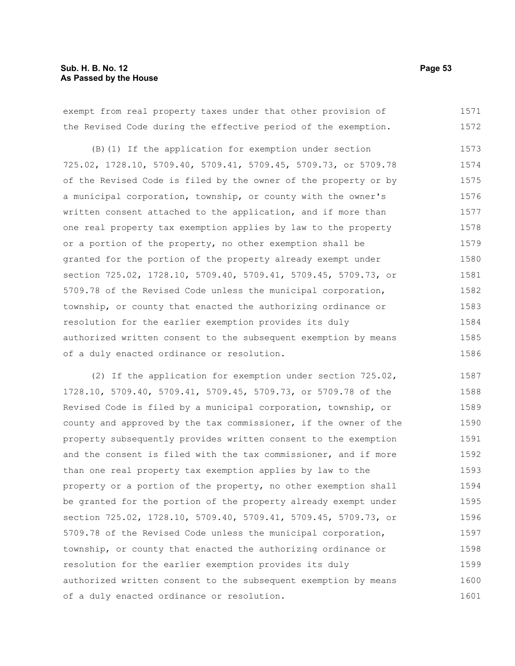#### **Sub. H. B. No. 12 Page 53 As Passed by the House**

exempt from real property taxes under that other provision of the Revised Code during the effective period of the exemption. 1571 1572

(B)(1) If the application for exemption under section 725.02, 1728.10, 5709.40, 5709.41, 5709.45, 5709.73, or 5709.78 of the Revised Code is filed by the owner of the property or by a municipal corporation, township, or county with the owner's written consent attached to the application, and if more than one real property tax exemption applies by law to the property or a portion of the property, no other exemption shall be granted for the portion of the property already exempt under section 725.02, 1728.10, 5709.40, 5709.41, 5709.45, 5709.73, or 5709.78 of the Revised Code unless the municipal corporation, township, or county that enacted the authorizing ordinance or resolution for the earlier exemption provides its duly authorized written consent to the subsequent exemption by means of a duly enacted ordinance or resolution. 1573 1574 1575 1576 1577 1578 1579 1580 1581 1582 1583 1584 1585 1586

(2) If the application for exemption under section 725.02, 1728.10, 5709.40, 5709.41, 5709.45, 5709.73, or 5709.78 of the Revised Code is filed by a municipal corporation, township, or county and approved by the tax commissioner, if the owner of the property subsequently provides written consent to the exemption and the consent is filed with the tax commissioner, and if more than one real property tax exemption applies by law to the property or a portion of the property, no other exemption shall be granted for the portion of the property already exempt under section 725.02, 1728.10, 5709.40, 5709.41, 5709.45, 5709.73, or 5709.78 of the Revised Code unless the municipal corporation, township, or county that enacted the authorizing ordinance or resolution for the earlier exemption provides its duly authorized written consent to the subsequent exemption by means of a duly enacted ordinance or resolution. 1587 1588 1589 1590 1591 1592 1593 1594 1595 1596 1597 1598 1599 1600 1601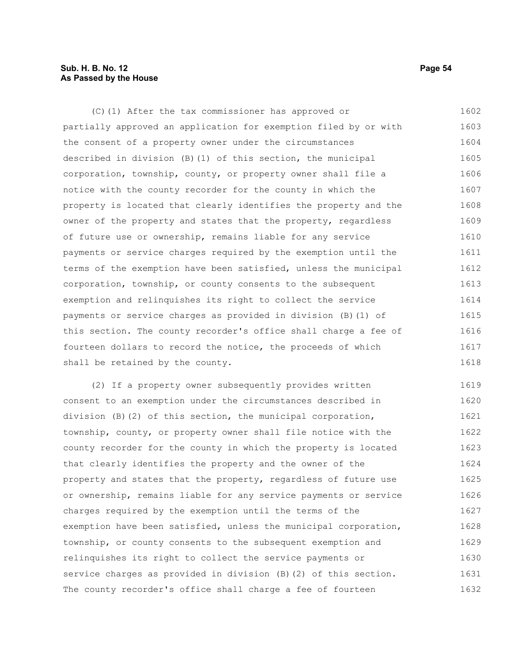#### **Sub. H. B. No. 12 Page 54 As Passed by the House**

(C)(1) After the tax commissioner has approved or partially approved an application for exemption filed by or with the consent of a property owner under the circumstances described in division (B)(1) of this section, the municipal corporation, township, county, or property owner shall file a notice with the county recorder for the county in which the property is located that clearly identifies the property and the owner of the property and states that the property, regardless of future use or ownership, remains liable for any service payments or service charges required by the exemption until the terms of the exemption have been satisfied, unless the municipal corporation, township, or county consents to the subsequent exemption and relinquishes its right to collect the service payments or service charges as provided in division (B)(1) of this section. The county recorder's office shall charge a fee of fourteen dollars to record the notice, the proceeds of which shall be retained by the county. 1602 1603 1604 1605 1606 1607 1608 1609 1610 1611 1612 1613 1614 1615 1616 1617 1618

(2) If a property owner subsequently provides written consent to an exemption under the circumstances described in division (B)(2) of this section, the municipal corporation, township, county, or property owner shall file notice with the county recorder for the county in which the property is located that clearly identifies the property and the owner of the property and states that the property, regardless of future use or ownership, remains liable for any service payments or service charges required by the exemption until the terms of the exemption have been satisfied, unless the municipal corporation, township, or county consents to the subsequent exemption and relinquishes its right to collect the service payments or service charges as provided in division (B)(2) of this section. The county recorder's office shall charge a fee of fourteen 1619 1620 1621 1622 1623 1624 1625 1626 1627 1628 1629 1630 1631 1632